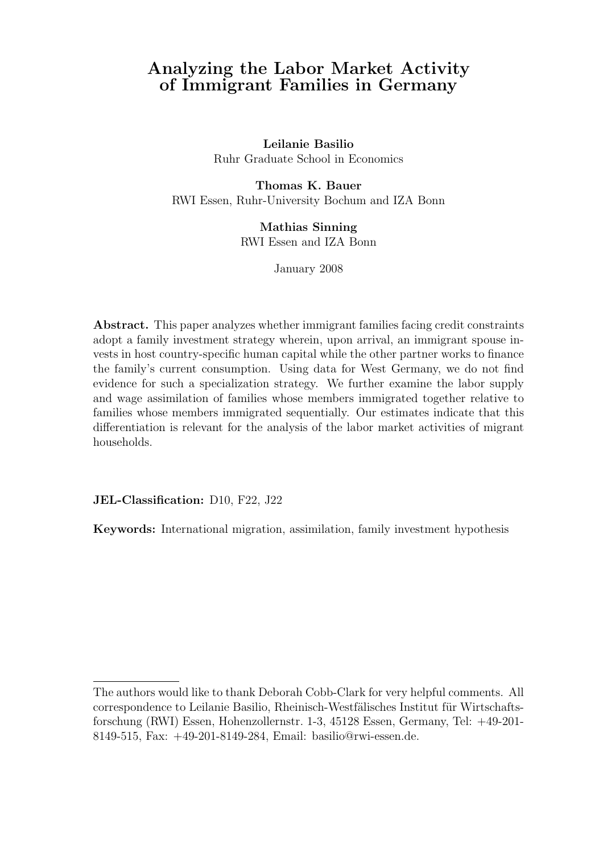# Analyzing the Labor Market Activity of Immigrant Families in Germany

Leilanie Basilio Ruhr Graduate School in Economics

Thomas K. Bauer RWI Essen, Ruhr-University Bochum and IZA Bonn

> Mathias Sinning RWI Essen and IZA Bonn

> > January 2008

Abstract. This paper analyzes whether immigrant families facing credit constraints adopt a family investment strategy wherein, upon arrival, an immigrant spouse invests in host country-specific human capital while the other partner works to finance the family's current consumption. Using data for West Germany, we do not find evidence for such a specialization strategy. We further examine the labor supply and wage assimilation of families whose members immigrated together relative to families whose members immigrated sequentially. Our estimates indicate that this differentiation is relevant for the analysis of the labor market activities of migrant households.

JEL-Classification: D10, F22, J22

Keywords: International migration, assimilation, family investment hypothesis

The authors would like to thank Deborah Cobb-Clark for very helpful comments. All correspondence to Leilanie Basilio, Rheinisch-Westfälisches Institut für Wirtschaftsforschung (RWI) Essen, Hohenzollernstr. 1-3, 45128 Essen, Germany, Tel: +49-201- 8149-515, Fax: +49-201-8149-284, Email: basilio@rwi-essen.de.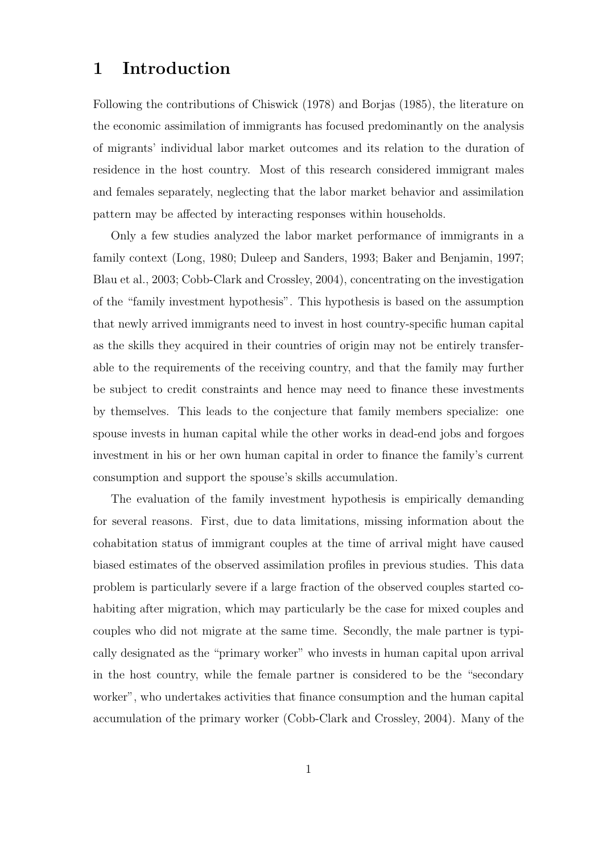# 1 Introduction

Following the contributions of Chiswick (1978) and Borjas (1985), the literature on the economic assimilation of immigrants has focused predominantly on the analysis of migrants' individual labor market outcomes and its relation to the duration of residence in the host country. Most of this research considered immigrant males and females separately, neglecting that the labor market behavior and assimilation pattern may be affected by interacting responses within households.

Only a few studies analyzed the labor market performance of immigrants in a family context (Long, 1980; Duleep and Sanders, 1993; Baker and Benjamin, 1997; Blau et al., 2003; Cobb-Clark and Crossley, 2004), concentrating on the investigation of the "family investment hypothesis". This hypothesis is based on the assumption that newly arrived immigrants need to invest in host country-specific human capital as the skills they acquired in their countries of origin may not be entirely transferable to the requirements of the receiving country, and that the family may further be subject to credit constraints and hence may need to finance these investments by themselves. This leads to the conjecture that family members specialize: one spouse invests in human capital while the other works in dead-end jobs and forgoes investment in his or her own human capital in order to finance the family's current consumption and support the spouse's skills accumulation.

The evaluation of the family investment hypothesis is empirically demanding for several reasons. First, due to data limitations, missing information about the cohabitation status of immigrant couples at the time of arrival might have caused biased estimates of the observed assimilation profiles in previous studies. This data problem is particularly severe if a large fraction of the observed couples started cohabiting after migration, which may particularly be the case for mixed couples and couples who did not migrate at the same time. Secondly, the male partner is typically designated as the "primary worker" who invests in human capital upon arrival in the host country, while the female partner is considered to be the "secondary worker", who undertakes activities that finance consumption and the human capital accumulation of the primary worker (Cobb-Clark and Crossley, 2004). Many of the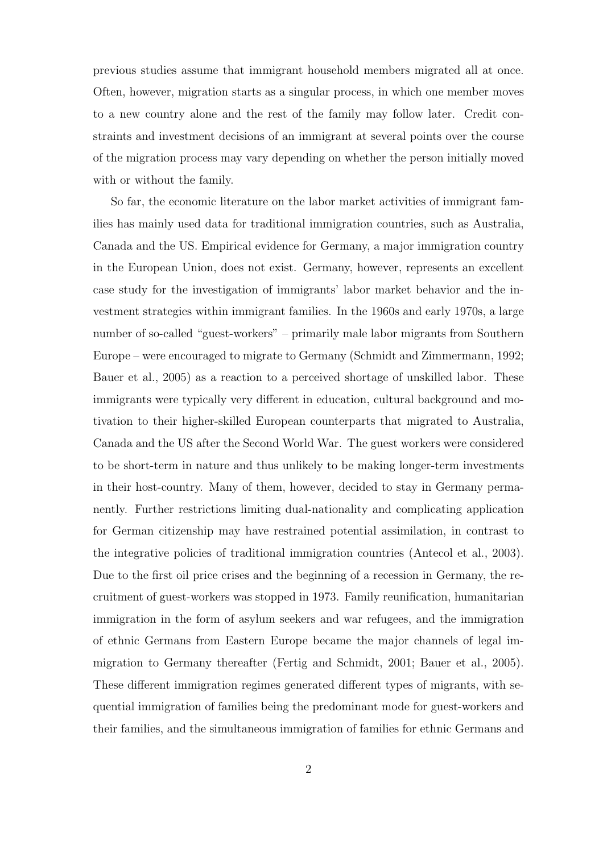previous studies assume that immigrant household members migrated all at once. Often, however, migration starts as a singular process, in which one member moves to a new country alone and the rest of the family may follow later. Credit constraints and investment decisions of an immigrant at several points over the course of the migration process may vary depending on whether the person initially moved with or without the family.

So far, the economic literature on the labor market activities of immigrant families has mainly used data for traditional immigration countries, such as Australia, Canada and the US. Empirical evidence for Germany, a major immigration country in the European Union, does not exist. Germany, however, represents an excellent case study for the investigation of immigrants' labor market behavior and the investment strategies within immigrant families. In the 1960s and early 1970s, a large number of so-called "guest-workers" – primarily male labor migrants from Southern Europe – were encouraged to migrate to Germany (Schmidt and Zimmermann, 1992; Bauer et al., 2005) as a reaction to a perceived shortage of unskilled labor. These immigrants were typically very different in education, cultural background and motivation to their higher-skilled European counterparts that migrated to Australia, Canada and the US after the Second World War. The guest workers were considered to be short-term in nature and thus unlikely to be making longer-term investments in their host-country. Many of them, however, decided to stay in Germany permanently. Further restrictions limiting dual-nationality and complicating application for German citizenship may have restrained potential assimilation, in contrast to the integrative policies of traditional immigration countries (Antecol et al., 2003). Due to the first oil price crises and the beginning of a recession in Germany, the recruitment of guest-workers was stopped in 1973. Family reunification, humanitarian immigration in the form of asylum seekers and war refugees, and the immigration of ethnic Germans from Eastern Europe became the major channels of legal immigration to Germany thereafter (Fertig and Schmidt, 2001; Bauer et al., 2005). These different immigration regimes generated different types of migrants, with sequential immigration of families being the predominant mode for guest-workers and their families, and the simultaneous immigration of families for ethnic Germans and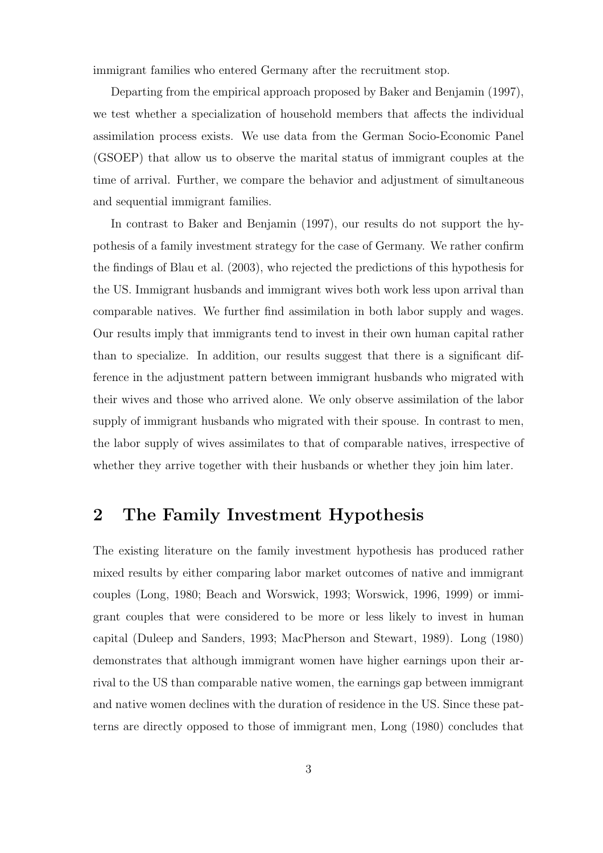immigrant families who entered Germany after the recruitment stop.

Departing from the empirical approach proposed by Baker and Benjamin (1997), we test whether a specialization of household members that affects the individual assimilation process exists. We use data from the German Socio-Economic Panel (GSOEP) that allow us to observe the marital status of immigrant couples at the time of arrival. Further, we compare the behavior and adjustment of simultaneous and sequential immigrant families.

In contrast to Baker and Benjamin (1997), our results do not support the hypothesis of a family investment strategy for the case of Germany. We rather confirm the findings of Blau et al. (2003), who rejected the predictions of this hypothesis for the US. Immigrant husbands and immigrant wives both work less upon arrival than comparable natives. We further find assimilation in both labor supply and wages. Our results imply that immigrants tend to invest in their own human capital rather than to specialize. In addition, our results suggest that there is a significant difference in the adjustment pattern between immigrant husbands who migrated with their wives and those who arrived alone. We only observe assimilation of the labor supply of immigrant husbands who migrated with their spouse. In contrast to men, the labor supply of wives assimilates to that of comparable natives, irrespective of whether they arrive together with their husbands or whether they join him later.

# 2 The Family Investment Hypothesis

The existing literature on the family investment hypothesis has produced rather mixed results by either comparing labor market outcomes of native and immigrant couples (Long, 1980; Beach and Worswick, 1993; Worswick, 1996, 1999) or immigrant couples that were considered to be more or less likely to invest in human capital (Duleep and Sanders, 1993; MacPherson and Stewart, 1989). Long (1980) demonstrates that although immigrant women have higher earnings upon their arrival to the US than comparable native women, the earnings gap between immigrant and native women declines with the duration of residence in the US. Since these patterns are directly opposed to those of immigrant men, Long (1980) concludes that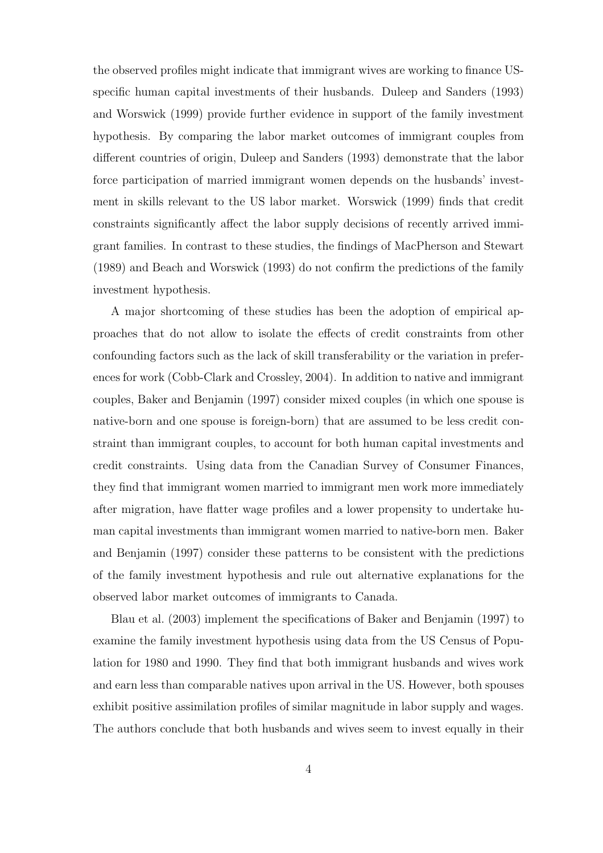the observed profiles might indicate that immigrant wives are working to finance USspecific human capital investments of their husbands. Duleep and Sanders (1993) and Worswick (1999) provide further evidence in support of the family investment hypothesis. By comparing the labor market outcomes of immigrant couples from different countries of origin, Duleep and Sanders (1993) demonstrate that the labor force participation of married immigrant women depends on the husbands' investment in skills relevant to the US labor market. Worswick (1999) finds that credit constraints significantly affect the labor supply decisions of recently arrived immigrant families. In contrast to these studies, the findings of MacPherson and Stewart (1989) and Beach and Worswick (1993) do not confirm the predictions of the family investment hypothesis.

A major shortcoming of these studies has been the adoption of empirical approaches that do not allow to isolate the effects of credit constraints from other confounding factors such as the lack of skill transferability or the variation in preferences for work (Cobb-Clark and Crossley, 2004). In addition to native and immigrant couples, Baker and Benjamin (1997) consider mixed couples (in which one spouse is native-born and one spouse is foreign-born) that are assumed to be less credit constraint than immigrant couples, to account for both human capital investments and credit constraints. Using data from the Canadian Survey of Consumer Finances, they find that immigrant women married to immigrant men work more immediately after migration, have flatter wage profiles and a lower propensity to undertake human capital investments than immigrant women married to native-born men. Baker and Benjamin (1997) consider these patterns to be consistent with the predictions of the family investment hypothesis and rule out alternative explanations for the observed labor market outcomes of immigrants to Canada.

Blau et al. (2003) implement the specifications of Baker and Benjamin (1997) to examine the family investment hypothesis using data from the US Census of Population for 1980 and 1990. They find that both immigrant husbands and wives work and earn less than comparable natives upon arrival in the US. However, both spouses exhibit positive assimilation profiles of similar magnitude in labor supply and wages. The authors conclude that both husbands and wives seem to invest equally in their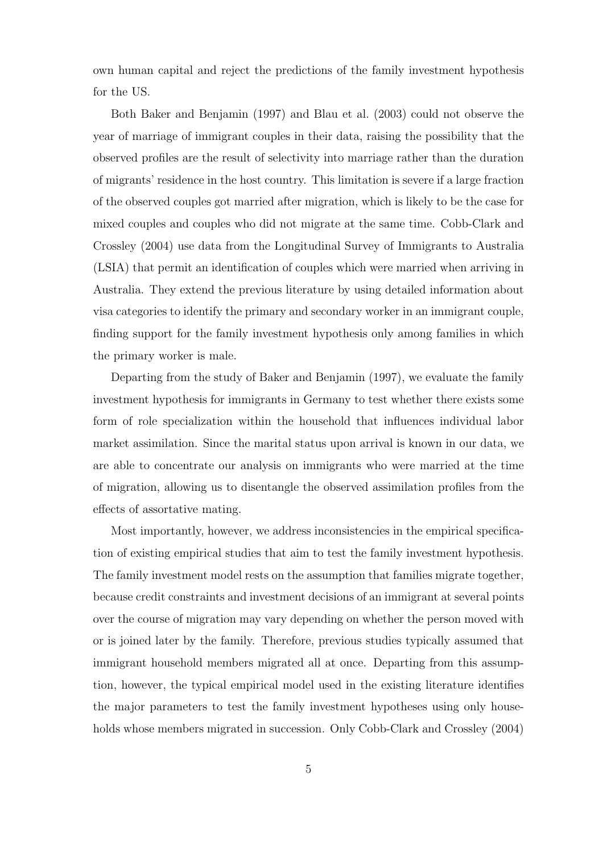own human capital and reject the predictions of the family investment hypothesis for the US.

Both Baker and Benjamin (1997) and Blau et al. (2003) could not observe the year of marriage of immigrant couples in their data, raising the possibility that the observed profiles are the result of selectivity into marriage rather than the duration of migrants' residence in the host country. This limitation is severe if a large fraction of the observed couples got married after migration, which is likely to be the case for mixed couples and couples who did not migrate at the same time. Cobb-Clark and Crossley (2004) use data from the Longitudinal Survey of Immigrants to Australia (LSIA) that permit an identification of couples which were married when arriving in Australia. They extend the previous literature by using detailed information about visa categories to identify the primary and secondary worker in an immigrant couple, finding support for the family investment hypothesis only among families in which the primary worker is male.

Departing from the study of Baker and Benjamin (1997), we evaluate the family investment hypothesis for immigrants in Germany to test whether there exists some form of role specialization within the household that influences individual labor market assimilation. Since the marital status upon arrival is known in our data, we are able to concentrate our analysis on immigrants who were married at the time of migration, allowing us to disentangle the observed assimilation profiles from the effects of assortative mating.

Most importantly, however, we address inconsistencies in the empirical specification of existing empirical studies that aim to test the family investment hypothesis. The family investment model rests on the assumption that families migrate together, because credit constraints and investment decisions of an immigrant at several points over the course of migration may vary depending on whether the person moved with or is joined later by the family. Therefore, previous studies typically assumed that immigrant household members migrated all at once. Departing from this assumption, however, the typical empirical model used in the existing literature identifies the major parameters to test the family investment hypotheses using only households whose members migrated in succession. Only Cobb-Clark and Crossley (2004)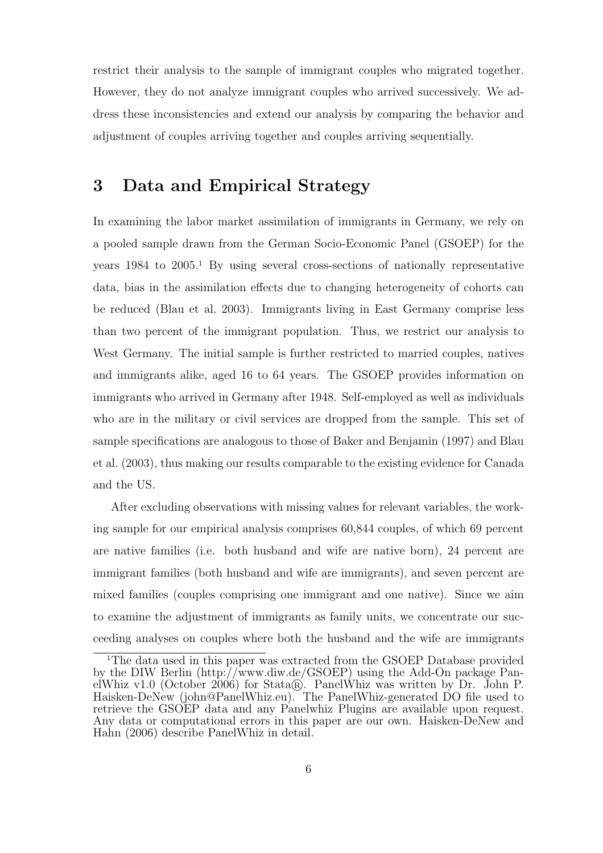restrict their analysis to the sample of immigrant couples who migrated together. However, they do not analyze immigrant couples who arrived successively. We address these inconsistencies and extend our analysis by comparing the behavior and adjustment of couples arriving together and couples arriving sequentially.

# 3 Data and Empirical Strategy

In examining the labor market assimilation of immigrants in Germany, we rely on a pooled sample drawn from the German Socio-Economic Panel (GSOEP) for the years 1984 to 2005.<sup>1</sup> By using several cross-sections of nationally representative data, bias in the assimilation effects due to changing heterogeneity of cohorts can be reduced (Blau et al. 2003). Immigrants living in East Germany comprise less than two percent of the immigrant population. Thus, we restrict our analysis to West Germany. The initial sample is further restricted to married couples, natives and immigrants alike, aged 16 to 64 years. The GSOEP provides information on immigrants who arrived in Germany after 1948. Self-employed as well as individuals who are in the military or civil services are dropped from the sample. This set of sample specifications are analogous to those of Baker and Benjamin (1997) and Blau et al. (2003), thus making our results comparable to the existing evidence for Canada and the US.

After excluding observations with missing values for relevant variables, the working sample for our empirical analysis comprises 60,844 couples, of which 69 percent are native families (i.e. both husband and wife are native born), 24 percent are immigrant families (both husband and wife are immigrants), and seven percent are mixed families (couples comprising one immigrant and one native). Since we aim to examine the adjustment of immigrants as family units, we concentrate our succeeding analyses on couples where both the husband and the wife are immigrants

<sup>&</sup>lt;sup>1</sup>The data used in this paper was extracted from the GSOEP Database provided by the DIW Berlin (http://www.diw.de/GSOEP) using the Add-On package PanelWhiz v1.0 (October 2006) for Stata $\stackrel{\frown}{R}$ . PanelWhiz was written by Dr. John P. Haisken-DeNew (john@PanelWhiz.eu). The PanelWhiz-generated DO file used to retrieve the GSOEP data and any Panelwhiz Plugins are available upon request. Any data or computational errors in this paper are our own. Haisken-DeNew and Hahn (2006) describe PanelWhiz in detail.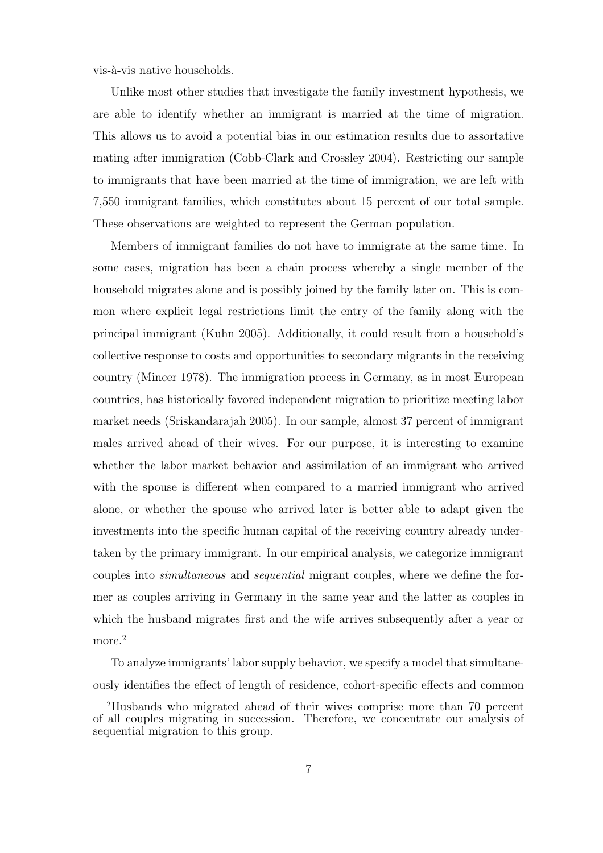vis-à-vis native households.

Unlike most other studies that investigate the family investment hypothesis, we are able to identify whether an immigrant is married at the time of migration. This allows us to avoid a potential bias in our estimation results due to assortative mating after immigration (Cobb-Clark and Crossley 2004). Restricting our sample to immigrants that have been married at the time of immigration, we are left with 7,550 immigrant families, which constitutes about 15 percent of our total sample. These observations are weighted to represent the German population.

Members of immigrant families do not have to immigrate at the same time. In some cases, migration has been a chain process whereby a single member of the household migrates alone and is possibly joined by the family later on. This is common where explicit legal restrictions limit the entry of the family along with the principal immigrant (Kuhn 2005). Additionally, it could result from a household's collective response to costs and opportunities to secondary migrants in the receiving country (Mincer 1978). The immigration process in Germany, as in most European countries, has historically favored independent migration to prioritize meeting labor market needs (Sriskandarajah 2005). In our sample, almost 37 percent of immigrant males arrived ahead of their wives. For our purpose, it is interesting to examine whether the labor market behavior and assimilation of an immigrant who arrived with the spouse is different when compared to a married immigrant who arrived alone, or whether the spouse who arrived later is better able to adapt given the investments into the specific human capital of the receiving country already undertaken by the primary immigrant. In our empirical analysis, we categorize immigrant couples into simultaneous and sequential migrant couples, where we define the former as couples arriving in Germany in the same year and the latter as couples in which the husband migrates first and the wife arrives subsequently after a year or more.<sup>2</sup>

To analyze immigrants' labor supply behavior, we specify a model that simultaneously identifies the effect of length of residence, cohort-specific effects and common

<sup>2</sup>Husbands who migrated ahead of their wives comprise more than 70 percent of all couples migrating in succession. Therefore, we concentrate our analysis of sequential migration to this group.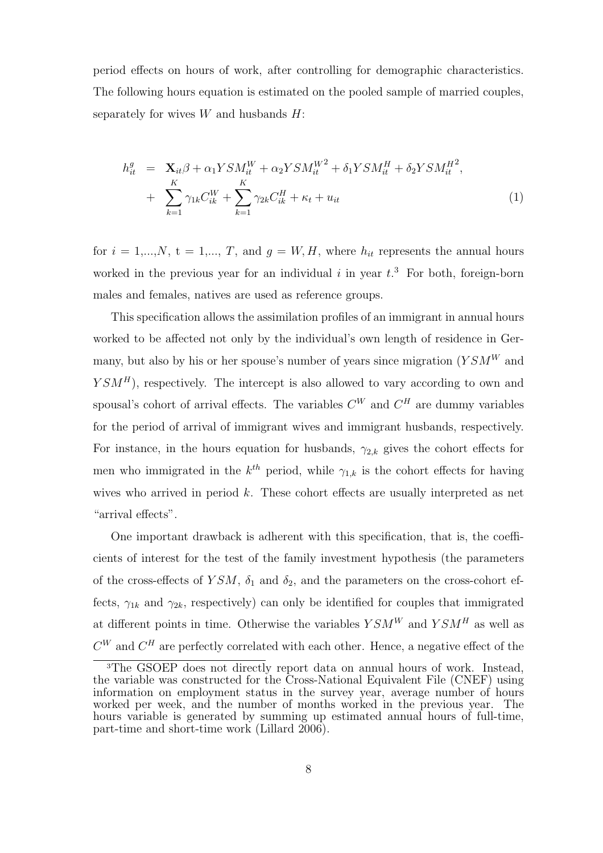period effects on hours of work, after controlling for demographic characteristics. The following hours equation is estimated on the pooled sample of married couples, separately for wives  $W$  and husbands  $H$ :

$$
h_{it}^{g} = \mathbf{X}_{it} \beta + \alpha_{1} Y S M_{it}^{W} + \alpha_{2} Y S M_{it}^{W^{2}} + \delta_{1} Y S M_{it}^{H} + \delta_{2} Y S M_{it}^{H^{2}},
$$
  
+ 
$$
\sum_{k=1}^{K} \gamma_{1k} C_{ik}^{W} + \sum_{k=1}^{K} \gamma_{2k} C_{ik}^{H} + \kappa_{t} + u_{it}
$$
 (1)

for  $i = 1,...,N$ ,  $t = 1,..., T$ , and  $g = W, H$ , where  $h_{it}$  represents the annual hours worked in the previous year for an individual  $i$  in year  $t$ <sup>3</sup>. For both, foreign-born males and females, natives are used as reference groups.

This specification allows the assimilation profiles of an immigrant in annual hours worked to be affected not only by the individual's own length of residence in Germany, but also by his or her spouse's number of years since migration  $(YSM^W)$  and  $YSM<sup>H</sup>$ ), respectively. The intercept is also allowed to vary according to own and spousal's cohort of arrival effects. The variables  $C^W$  and  $C^H$  are dummy variables for the period of arrival of immigrant wives and immigrant husbands, respectively. For instance, in the hours equation for husbands,  $\gamma_{2,k}$  gives the cohort effects for men who immigrated in the  $k^{th}$  period, while  $\gamma_{1,k}$  is the cohort effects for having wives who arrived in period  $k$ . These cohort effects are usually interpreted as net "arrival effects".

One important drawback is adherent with this specification, that is, the coefficients of interest for the test of the family investment hypothesis (the parameters of the cross-effects of YSM,  $\delta_1$  and  $\delta_2$ , and the parameters on the cross-cohort effects,  $\gamma_{1k}$  and  $\gamma_{2k}$ , respectively) can only be identified for couples that immigrated at different points in time. Otherwise the variables  $YSM^W$  and  $YSM^H$  as well as  $C^{W}$  and  $C^{H}$  are perfectly correlated with each other. Hence, a negative effect of the

<sup>3</sup>The GSOEP does not directly report data on annual hours of work. Instead, the variable was constructed for the Cross-National Equivalent File (CNEF) using information on employment status in the survey year, average number of hours worked per week, and the number of months worked in the previous year. The hours variable is generated by summing up estimated annual hours of full-time, part-time and short-time work (Lillard 2006).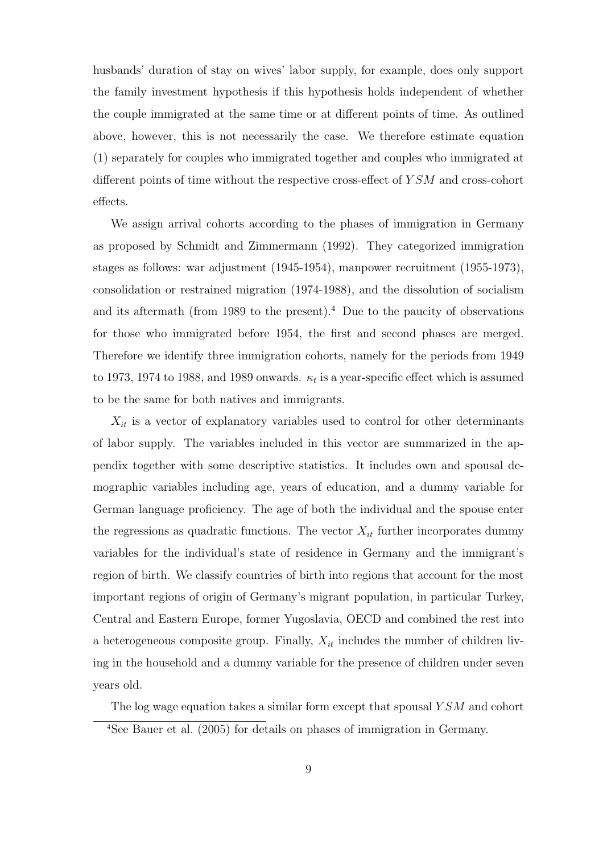husbands' duration of stay on wives' labor supply, for example, does only support the family investment hypothesis if this hypothesis holds independent of whether the couple immigrated at the same time or at different points of time. As outlined above, however, this is not necessarily the case. We therefore estimate equation (1) separately for couples who immigrated together and couples who immigrated at different points of time without the respective cross-effect of Y SM and cross-cohort effects.

We assign arrival cohorts according to the phases of immigration in Germany as proposed by Schmidt and Zimmermann (1992). They categorized immigration stages as follows: war adjustment (1945-1954), manpower recruitment (1955-1973), consolidation or restrained migration (1974-1988), and the dissolution of socialism and its aftermath (from 1989 to the present).<sup>4</sup> Due to the paucity of observations for those who immigrated before 1954, the first and second phases are merged. Therefore we identify three immigration cohorts, namely for the periods from 1949 to 1973, 1974 to 1988, and 1989 onwards.  $\kappa_t$  is a year-specific effect which is assumed to be the same for both natives and immigrants.

 $X_{it}$  is a vector of explanatory variables used to control for other determinants of labor supply. The variables included in this vector are summarized in the appendix together with some descriptive statistics. It includes own and spousal demographic variables including age, years of education, and a dummy variable for German language proficiency. The age of both the individual and the spouse enter the regressions as quadratic functions. The vector  $X_{it}$  further incorporates dummy variables for the individual's state of residence in Germany and the immigrant's region of birth. We classify countries of birth into regions that account for the most important regions of origin of Germany's migrant population, in particular Turkey, Central and Eastern Europe, former Yugoslavia, OECD and combined the rest into a heterogeneous composite group. Finally,  $X_{it}$  includes the number of children living in the household and a dummy variable for the presence of children under seven years old.

The log wage equation takes a similar form except that spousal  $YSM$  and cohort

<sup>4</sup>See Bauer et al. (2005) for details on phases of immigration in Germany.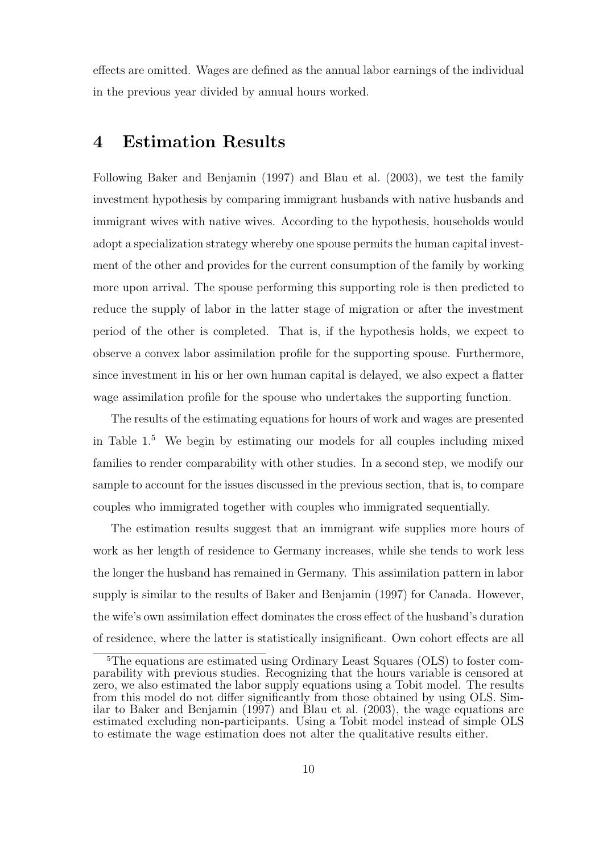effects are omitted. Wages are defined as the annual labor earnings of the individual in the previous year divided by annual hours worked.

## 4 Estimation Results

Following Baker and Benjamin (1997) and Blau et al. (2003), we test the family investment hypothesis by comparing immigrant husbands with native husbands and immigrant wives with native wives. According to the hypothesis, households would adopt a specialization strategy whereby one spouse permits the human capital investment of the other and provides for the current consumption of the family by working more upon arrival. The spouse performing this supporting role is then predicted to reduce the supply of labor in the latter stage of migration or after the investment period of the other is completed. That is, if the hypothesis holds, we expect to observe a convex labor assimilation profile for the supporting spouse. Furthermore, since investment in his or her own human capital is delayed, we also expect a flatter wage assimilation profile for the spouse who undertakes the supporting function.

The results of the estimating equations for hours of work and wages are presented in Table  $1<sup>5</sup>$  We begin by estimating our models for all couples including mixed families to render comparability with other studies. In a second step, we modify our sample to account for the issues discussed in the previous section, that is, to compare couples who immigrated together with couples who immigrated sequentially.

The estimation results suggest that an immigrant wife supplies more hours of work as her length of residence to Germany increases, while she tends to work less the longer the husband has remained in Germany. This assimilation pattern in labor supply is similar to the results of Baker and Benjamin (1997) for Canada. However, the wife's own assimilation effect dominates the cross effect of the husband's duration of residence, where the latter is statistically insignificant. Own cohort effects are all

<sup>5</sup>The equations are estimated using Ordinary Least Squares (OLS) to foster comparability with previous studies. Recognizing that the hours variable is censored at zero, we also estimated the labor supply equations using a Tobit model. The results from this model do not differ significantly from those obtained by using OLS. Similar to Baker and Benjamin (1997) and Blau et al. (2003), the wage equations are estimated excluding non-participants. Using a Tobit model instead of simple OLS to estimate the wage estimation does not alter the qualitative results either.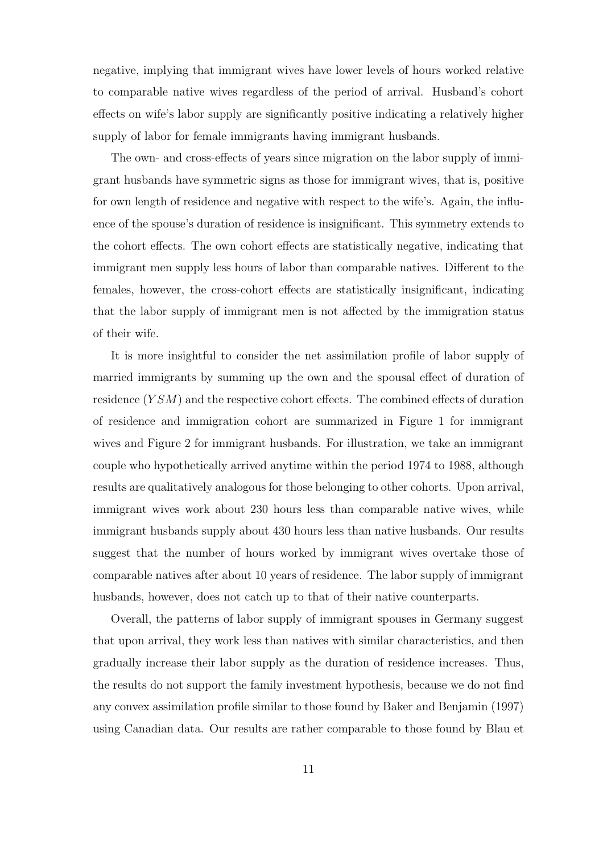negative, implying that immigrant wives have lower levels of hours worked relative to comparable native wives regardless of the period of arrival. Husband's cohort effects on wife's labor supply are significantly positive indicating a relatively higher supply of labor for female immigrants having immigrant husbands.

The own- and cross-effects of years since migration on the labor supply of immigrant husbands have symmetric signs as those for immigrant wives, that is, positive for own length of residence and negative with respect to the wife's. Again, the influence of the spouse's duration of residence is insignificant. This symmetry extends to the cohort effects. The own cohort effects are statistically negative, indicating that immigrant men supply less hours of labor than comparable natives. Different to the females, however, the cross-cohort effects are statistically insignificant, indicating that the labor supply of immigrant men is not affected by the immigration status of their wife.

It is more insightful to consider the net assimilation profile of labor supply of married immigrants by summing up the own and the spousal effect of duration of residence  $(YSM)$  and the respective cohort effects. The combined effects of duration of residence and immigration cohort are summarized in Figure 1 for immigrant wives and Figure 2 for immigrant husbands. For illustration, we take an immigrant couple who hypothetically arrived anytime within the period 1974 to 1988, although results are qualitatively analogous for those belonging to other cohorts. Upon arrival, immigrant wives work about 230 hours less than comparable native wives, while immigrant husbands supply about 430 hours less than native husbands. Our results suggest that the number of hours worked by immigrant wives overtake those of comparable natives after about 10 years of residence. The labor supply of immigrant husbands, however, does not catch up to that of their native counterparts.

Overall, the patterns of labor supply of immigrant spouses in Germany suggest that upon arrival, they work less than natives with similar characteristics, and then gradually increase their labor supply as the duration of residence increases. Thus, the results do not support the family investment hypothesis, because we do not find any convex assimilation profile similar to those found by Baker and Benjamin (1997) using Canadian data. Our results are rather comparable to those found by Blau et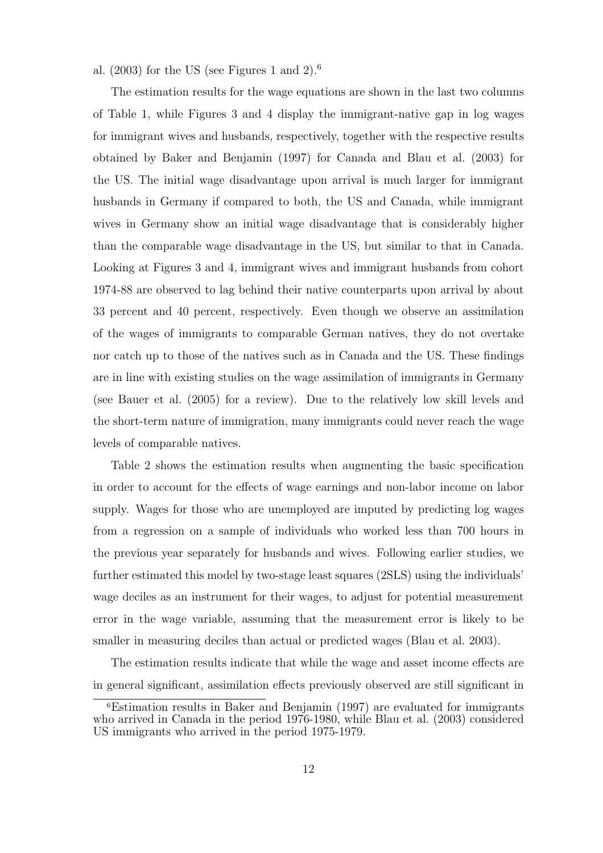al.  $(2003)$  for the US (see Figures 1 and 2).<sup>6</sup>

The estimation results for the wage equations are shown in the last two columns of Table 1, while Figures 3 and 4 display the immigrant-native gap in log wages for immigrant wives and husbands, respectively, together with the respective results obtained by Baker and Benjamin (1997) for Canada and Blau et al. (2003) for the US. The initial wage disadvantage upon arrival is much larger for immigrant husbands in Germany if compared to both, the US and Canada, while immigrant wives in Germany show an initial wage disadvantage that is considerably higher than the comparable wage disadvantage in the US, but similar to that in Canada. Looking at Figures 3 and 4, immigrant wives and immigrant husbands from cohort 1974-88 are observed to lag behind their native counterparts upon arrival by about 33 percent and 40 percent, respectively. Even though we observe an assimilation of the wages of immigrants to comparable German natives, they do not overtake nor catch up to those of the natives such as in Canada and the US. These findings are in line with existing studies on the wage assimilation of immigrants in Germany (see Bauer et al. (2005) for a review). Due to the relatively low skill levels and the short-term nature of immigration, many immigrants could never reach the wage levels of comparable natives.

Table 2 shows the estimation results when augmenting the basic specification in order to account for the effects of wage earnings and non-labor income on labor supply. Wages for those who are unemployed are imputed by predicting log wages from a regression on a sample of individuals who worked less than 700 hours in the previous year separately for husbands and wives. Following earlier studies, we further estimated this model by two-stage least squares (2SLS) using the individuals' wage deciles as an instrument for their wages, to adjust for potential measurement error in the wage variable, assuming that the measurement error is likely to be smaller in measuring deciles than actual or predicted wages (Blau et al. 2003).

The estimation results indicate that while the wage and asset income effects are in general significant, assimilation effects previously observed are still significant in

<sup>6</sup>Estimation results in Baker and Benjamin (1997) are evaluated for immigrants who arrived in Canada in the period 1976-1980, while Blau et al. (2003) considered US immigrants who arrived in the period 1975-1979.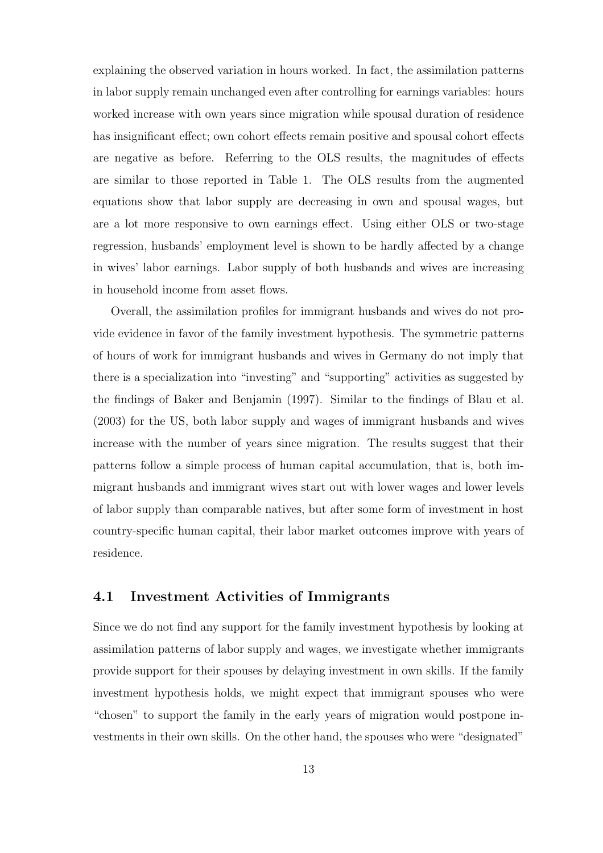explaining the observed variation in hours worked. In fact, the assimilation patterns in labor supply remain unchanged even after controlling for earnings variables: hours worked increase with own years since migration while spousal duration of residence has insignificant effect; own cohort effects remain positive and spousal cohort effects are negative as before. Referring to the OLS results, the magnitudes of effects are similar to those reported in Table 1. The OLS results from the augmented equations show that labor supply are decreasing in own and spousal wages, but are a lot more responsive to own earnings effect. Using either OLS or two-stage regression, husbands' employment level is shown to be hardly affected by a change in wives' labor earnings. Labor supply of both husbands and wives are increasing in household income from asset flows.

Overall, the assimilation profiles for immigrant husbands and wives do not provide evidence in favor of the family investment hypothesis. The symmetric patterns of hours of work for immigrant husbands and wives in Germany do not imply that there is a specialization into "investing" and "supporting" activities as suggested by the findings of Baker and Benjamin (1997). Similar to the findings of Blau et al. (2003) for the US, both labor supply and wages of immigrant husbands and wives increase with the number of years since migration. The results suggest that their patterns follow a simple process of human capital accumulation, that is, both immigrant husbands and immigrant wives start out with lower wages and lower levels of labor supply than comparable natives, but after some form of investment in host country-specific human capital, their labor market outcomes improve with years of residence.

## 4.1 Investment Activities of Immigrants

Since we do not find any support for the family investment hypothesis by looking at assimilation patterns of labor supply and wages, we investigate whether immigrants provide support for their spouses by delaying investment in own skills. If the family investment hypothesis holds, we might expect that immigrant spouses who were "chosen" to support the family in the early years of migration would postpone investments in their own skills. On the other hand, the spouses who were "designated"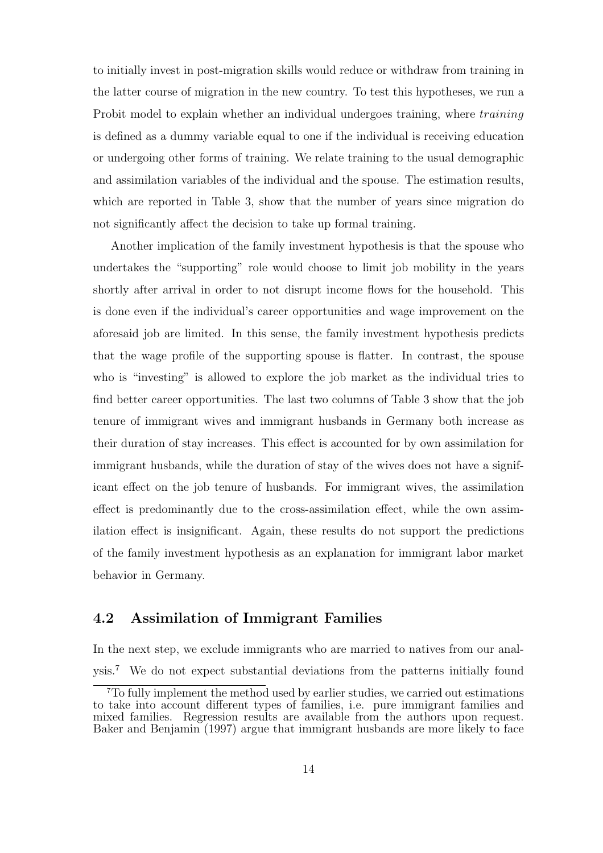to initially invest in post-migration skills would reduce or withdraw from training in the latter course of migration in the new country. To test this hypotheses, we run a Probit model to explain whether an individual undergoes training, where training is defined as a dummy variable equal to one if the individual is receiving education or undergoing other forms of training. We relate training to the usual demographic and assimilation variables of the individual and the spouse. The estimation results, which are reported in Table 3, show that the number of years since migration do not significantly affect the decision to take up formal training.

Another implication of the family investment hypothesis is that the spouse who undertakes the "supporting" role would choose to limit job mobility in the years shortly after arrival in order to not disrupt income flows for the household. This is done even if the individual's career opportunities and wage improvement on the aforesaid job are limited. In this sense, the family investment hypothesis predicts that the wage profile of the supporting spouse is flatter. In contrast, the spouse who is "investing" is allowed to explore the job market as the individual tries to find better career opportunities. The last two columns of Table 3 show that the job tenure of immigrant wives and immigrant husbands in Germany both increase as their duration of stay increases. This effect is accounted for by own assimilation for immigrant husbands, while the duration of stay of the wives does not have a significant effect on the job tenure of husbands. For immigrant wives, the assimilation effect is predominantly due to the cross-assimilation effect, while the own assimilation effect is insignificant. Again, these results do not support the predictions of the family investment hypothesis as an explanation for immigrant labor market behavior in Germany.

## 4.2 Assimilation of Immigrant Families

In the next step, we exclude immigrants who are married to natives from our analysis.<sup>7</sup> We do not expect substantial deviations from the patterns initially found

<sup>7</sup>To fully implement the method used by earlier studies, we carried out estimations to take into account different types of families, i.e. pure immigrant families and mixed families. Regression results are available from the authors upon request. Baker and Benjamin (1997) argue that immigrant husbands are more likely to face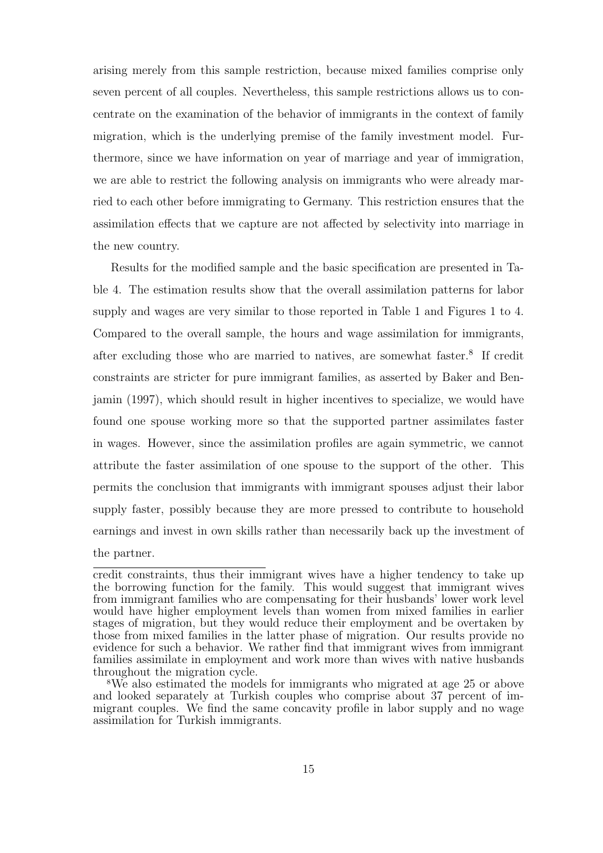arising merely from this sample restriction, because mixed families comprise only seven percent of all couples. Nevertheless, this sample restrictions allows us to concentrate on the examination of the behavior of immigrants in the context of family migration, which is the underlying premise of the family investment model. Furthermore, since we have information on year of marriage and year of immigration, we are able to restrict the following analysis on immigrants who were already married to each other before immigrating to Germany. This restriction ensures that the assimilation effects that we capture are not affected by selectivity into marriage in the new country.

Results for the modified sample and the basic specification are presented in Table 4. The estimation results show that the overall assimilation patterns for labor supply and wages are very similar to those reported in Table 1 and Figures 1 to 4. Compared to the overall sample, the hours and wage assimilation for immigrants, after excluding those who are married to natives, are somewhat faster.<sup>8</sup> If credit constraints are stricter for pure immigrant families, as asserted by Baker and Benjamin (1997), which should result in higher incentives to specialize, we would have found one spouse working more so that the supported partner assimilates faster in wages. However, since the assimilation profiles are again symmetric, we cannot attribute the faster assimilation of one spouse to the support of the other. This permits the conclusion that immigrants with immigrant spouses adjust their labor supply faster, possibly because they are more pressed to contribute to household earnings and invest in own skills rather than necessarily back up the investment of the partner.

credit constraints, thus their immigrant wives have a higher tendency to take up the borrowing function for the family. This would suggest that immigrant wives from immigrant families who are compensating for their husbands' lower work level would have higher employment levels than women from mixed families in earlier stages of migration, but they would reduce their employment and be overtaken by those from mixed families in the latter phase of migration. Our results provide no evidence for such a behavior. We rather find that immigrant wives from immigrant families assimilate in employment and work more than wives with native husbands throughout the migration cycle.

<sup>8</sup>We also estimated the models for immigrants who migrated at age 25 or above and looked separately at Turkish couples who comprise about 37 percent of immigrant couples. We find the same concavity profile in labor supply and no wage assimilation for Turkish immigrants.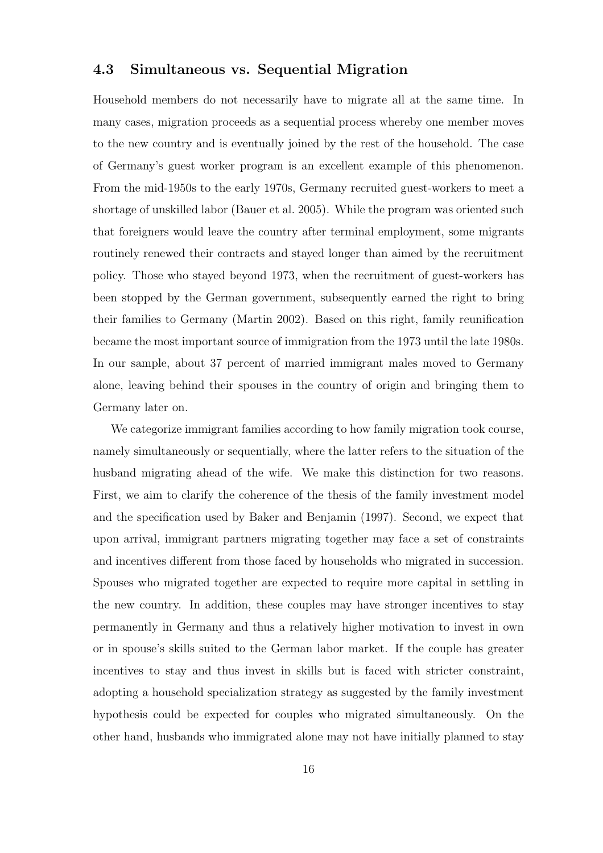## 4.3 Simultaneous vs. Sequential Migration

Household members do not necessarily have to migrate all at the same time. In many cases, migration proceeds as a sequential process whereby one member moves to the new country and is eventually joined by the rest of the household. The case of Germany's guest worker program is an excellent example of this phenomenon. From the mid-1950s to the early 1970s, Germany recruited guest-workers to meet a shortage of unskilled labor (Bauer et al. 2005). While the program was oriented such that foreigners would leave the country after terminal employment, some migrants routinely renewed their contracts and stayed longer than aimed by the recruitment policy. Those who stayed beyond 1973, when the recruitment of guest-workers has been stopped by the German government, subsequently earned the right to bring their families to Germany (Martin 2002). Based on this right, family reunification became the most important source of immigration from the 1973 until the late 1980s. In our sample, about 37 percent of married immigrant males moved to Germany alone, leaving behind their spouses in the country of origin and bringing them to Germany later on.

We categorize immigrant families according to how family migration took course, namely simultaneously or sequentially, where the latter refers to the situation of the husband migrating ahead of the wife. We make this distinction for two reasons. First, we aim to clarify the coherence of the thesis of the family investment model and the specification used by Baker and Benjamin (1997). Second, we expect that upon arrival, immigrant partners migrating together may face a set of constraints and incentives different from those faced by households who migrated in succession. Spouses who migrated together are expected to require more capital in settling in the new country. In addition, these couples may have stronger incentives to stay permanently in Germany and thus a relatively higher motivation to invest in own or in spouse's skills suited to the German labor market. If the couple has greater incentives to stay and thus invest in skills but is faced with stricter constraint, adopting a household specialization strategy as suggested by the family investment hypothesis could be expected for couples who migrated simultaneously. On the other hand, husbands who immigrated alone may not have initially planned to stay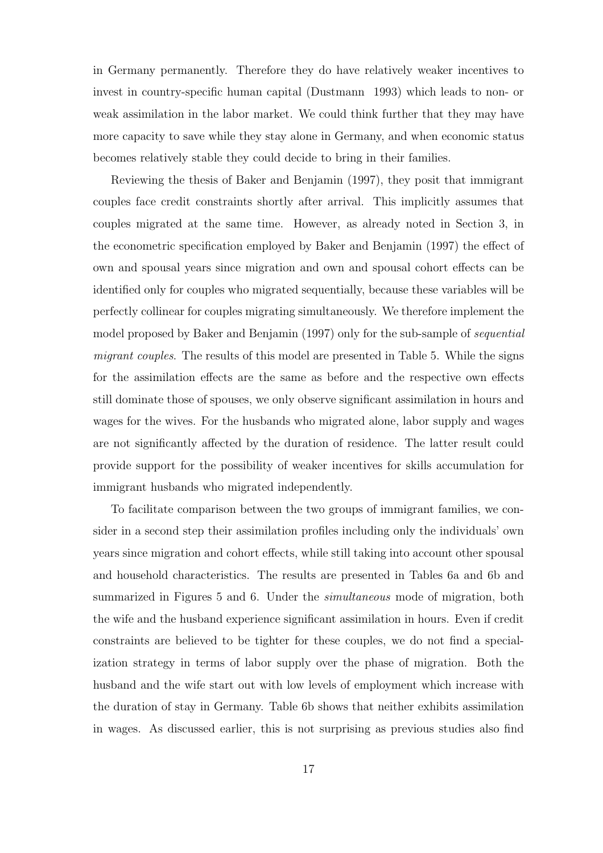in Germany permanently. Therefore they do have relatively weaker incentives to invest in country-specific human capital (Dustmann 1993) which leads to non- or weak assimilation in the labor market. We could think further that they may have more capacity to save while they stay alone in Germany, and when economic status becomes relatively stable they could decide to bring in their families.

Reviewing the thesis of Baker and Benjamin (1997), they posit that immigrant couples face credit constraints shortly after arrival. This implicitly assumes that couples migrated at the same time. However, as already noted in Section 3, in the econometric specification employed by Baker and Benjamin (1997) the effect of own and spousal years since migration and own and spousal cohort effects can be identified only for couples who migrated sequentially, because these variables will be perfectly collinear for couples migrating simultaneously. We therefore implement the model proposed by Baker and Benjamin (1997) only for the sub-sample of sequential migrant couples. The results of this model are presented in Table 5. While the signs for the assimilation effects are the same as before and the respective own effects still dominate those of spouses, we only observe significant assimilation in hours and wages for the wives. For the husbands who migrated alone, labor supply and wages are not significantly affected by the duration of residence. The latter result could provide support for the possibility of weaker incentives for skills accumulation for immigrant husbands who migrated independently.

To facilitate comparison between the two groups of immigrant families, we consider in a second step their assimilation profiles including only the individuals' own years since migration and cohort effects, while still taking into account other spousal and household characteristics. The results are presented in Tables 6a and 6b and summarized in Figures 5 and 6. Under the *simultaneous* mode of migration, both the wife and the husband experience significant assimilation in hours. Even if credit constraints are believed to be tighter for these couples, we do not find a specialization strategy in terms of labor supply over the phase of migration. Both the husband and the wife start out with low levels of employment which increase with the duration of stay in Germany. Table 6b shows that neither exhibits assimilation in wages. As discussed earlier, this is not surprising as previous studies also find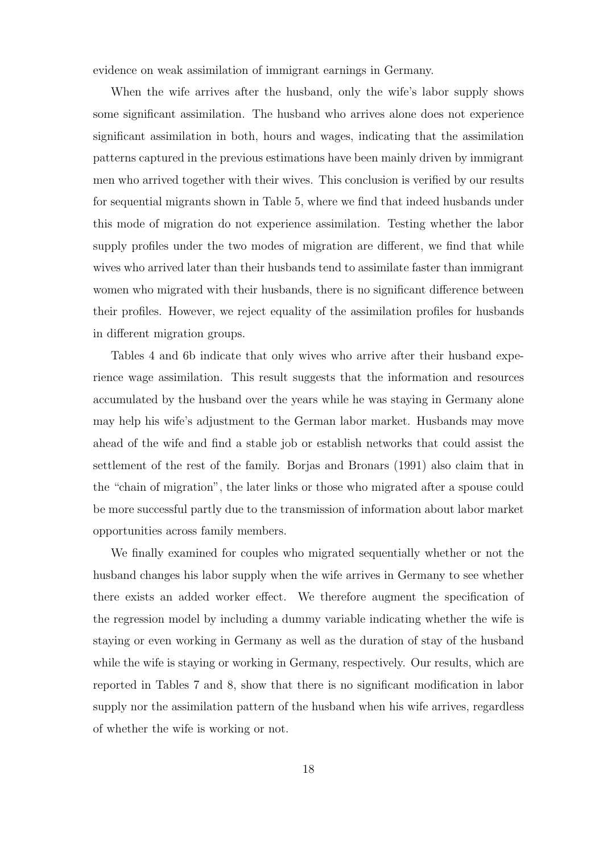evidence on weak assimilation of immigrant earnings in Germany.

When the wife arrives after the husband, only the wife's labor supply shows some significant assimilation. The husband who arrives alone does not experience significant assimilation in both, hours and wages, indicating that the assimilation patterns captured in the previous estimations have been mainly driven by immigrant men who arrived together with their wives. This conclusion is verified by our results for sequential migrants shown in Table 5, where we find that indeed husbands under this mode of migration do not experience assimilation. Testing whether the labor supply profiles under the two modes of migration are different, we find that while wives who arrived later than their husbands tend to assimilate faster than immigrant women who migrated with their husbands, there is no significant difference between their profiles. However, we reject equality of the assimilation profiles for husbands in different migration groups.

Tables 4 and 6b indicate that only wives who arrive after their husband experience wage assimilation. This result suggests that the information and resources accumulated by the husband over the years while he was staying in Germany alone may help his wife's adjustment to the German labor market. Husbands may move ahead of the wife and find a stable job or establish networks that could assist the settlement of the rest of the family. Borjas and Bronars (1991) also claim that in the "chain of migration", the later links or those who migrated after a spouse could be more successful partly due to the transmission of information about labor market opportunities across family members.

We finally examined for couples who migrated sequentially whether or not the husband changes his labor supply when the wife arrives in Germany to see whether there exists an added worker effect. We therefore augment the specification of the regression model by including a dummy variable indicating whether the wife is staying or even working in Germany as well as the duration of stay of the husband while the wife is staying or working in Germany, respectively. Our results, which are reported in Tables 7 and 8, show that there is no significant modification in labor supply nor the assimilation pattern of the husband when his wife arrives, regardless of whether the wife is working or not.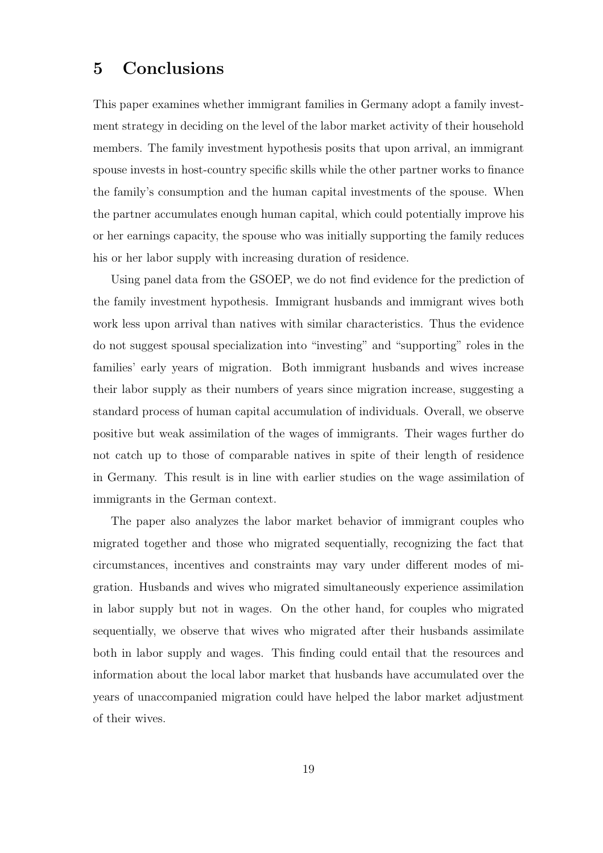# 5 Conclusions

This paper examines whether immigrant families in Germany adopt a family investment strategy in deciding on the level of the labor market activity of their household members. The family investment hypothesis posits that upon arrival, an immigrant spouse invests in host-country specific skills while the other partner works to finance the family's consumption and the human capital investments of the spouse. When the partner accumulates enough human capital, which could potentially improve his or her earnings capacity, the spouse who was initially supporting the family reduces his or her labor supply with increasing duration of residence.

Using panel data from the GSOEP, we do not find evidence for the prediction of the family investment hypothesis. Immigrant husbands and immigrant wives both work less upon arrival than natives with similar characteristics. Thus the evidence do not suggest spousal specialization into "investing" and "supporting" roles in the families' early years of migration. Both immigrant husbands and wives increase their labor supply as their numbers of years since migration increase, suggesting a standard process of human capital accumulation of individuals. Overall, we observe positive but weak assimilation of the wages of immigrants. Their wages further do not catch up to those of comparable natives in spite of their length of residence in Germany. This result is in line with earlier studies on the wage assimilation of immigrants in the German context.

The paper also analyzes the labor market behavior of immigrant couples who migrated together and those who migrated sequentially, recognizing the fact that circumstances, incentives and constraints may vary under different modes of migration. Husbands and wives who migrated simultaneously experience assimilation in labor supply but not in wages. On the other hand, for couples who migrated sequentially, we observe that wives who migrated after their husbands assimilate both in labor supply and wages. This finding could entail that the resources and information about the local labor market that husbands have accumulated over the years of unaccompanied migration could have helped the labor market adjustment of their wives.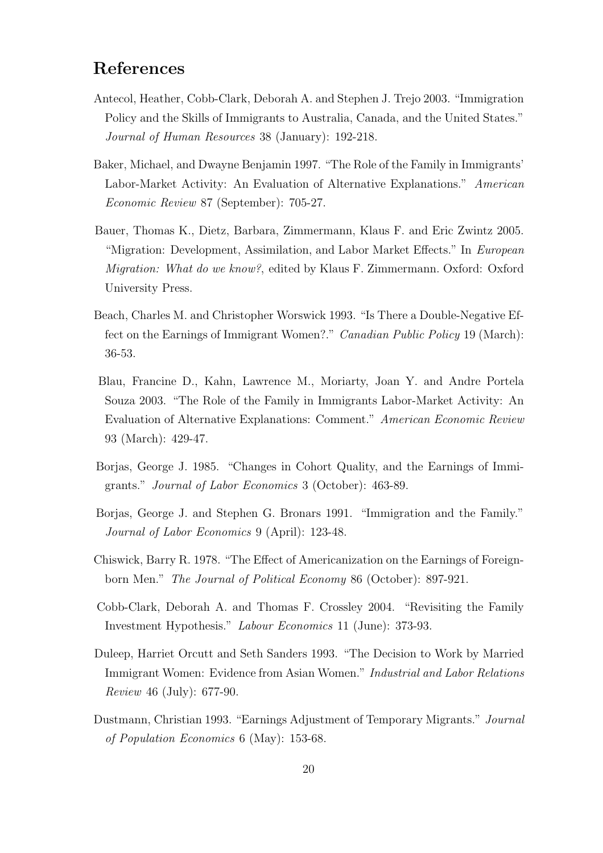# References

- Antecol, Heather, Cobb-Clark, Deborah A. and Stephen J. Trejo 2003. "Immigration Policy and the Skills of Immigrants to Australia, Canada, and the United States." Journal of Human Resources 38 (January): 192-218.
- Baker, Michael, and Dwayne Benjamin 1997. "The Role of the Family in Immigrants' Labor-Market Activity: An Evaluation of Alternative Explanations." American Economic Review 87 (September): 705-27.
- Bauer, Thomas K., Dietz, Barbara, Zimmermann, Klaus F. and Eric Zwintz 2005. "Migration: Development, Assimilation, and Labor Market Effects." In European Migration: What do we know?, edited by Klaus F. Zimmermann. Oxford: Oxford University Press.
- Beach, Charles M. and Christopher Worswick 1993. "Is There a Double-Negative Effect on the Earnings of Immigrant Women?." Canadian Public Policy 19 (March): 36-53.
- Blau, Francine D., Kahn, Lawrence M., Moriarty, Joan Y. and Andre Portela Souza 2003. "The Role of the Family in Immigrants Labor-Market Activity: An Evaluation of Alternative Explanations: Comment." American Economic Review 93 (March): 429-47.
- Borjas, George J. 1985. "Changes in Cohort Quality, and the Earnings of Immigrants." Journal of Labor Economics 3 (October): 463-89.
- Borjas, George J. and Stephen G. Bronars 1991. "Immigration and the Family." Journal of Labor Economics 9 (April): 123-48.
- Chiswick, Barry R. 1978. "The Effect of Americanization on the Earnings of Foreignborn Men." The Journal of Political Economy 86 (October): 897-921.
- Cobb-Clark, Deborah A. and Thomas F. Crossley 2004. "Revisiting the Family Investment Hypothesis." Labour Economics 11 (June): 373-93.
- Duleep, Harriet Orcutt and Seth Sanders 1993. "The Decision to Work by Married Immigrant Women: Evidence from Asian Women." Industrial and Labor Relations Review 46 (July): 677-90.
- Dustmann, Christian 1993. "Earnings Adjustment of Temporary Migrants." Journal of Population Economics 6 (May): 153-68.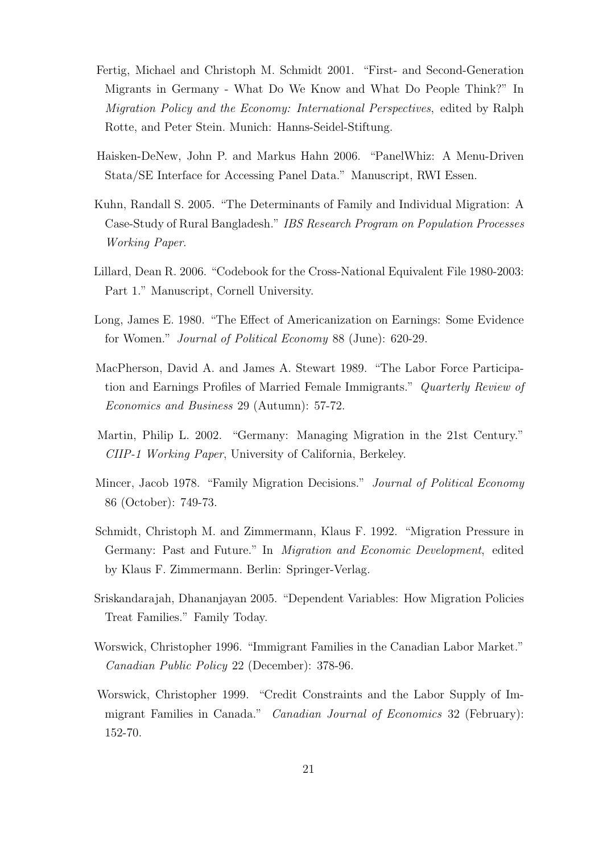- Fertig, Michael and Christoph M. Schmidt 2001. "First- and Second-Generation Migrants in Germany - What Do We Know and What Do People Think?" In Migration Policy and the Economy: International Perspectives, edited by Ralph Rotte, and Peter Stein. Munich: Hanns-Seidel-Stiftung.
- Haisken-DeNew, John P. and Markus Hahn 2006. "PanelWhiz: A Menu-Driven Stata/SE Interface for Accessing Panel Data." Manuscript, RWI Essen.
- Kuhn, Randall S. 2005. "The Determinants of Family and Individual Migration: A Case-Study of Rural Bangladesh." IBS Research Program on Population Processes Working Paper.
- Lillard, Dean R. 2006. "Codebook for the Cross-National Equivalent File 1980-2003: Part 1." Manuscript, Cornell University.
- Long, James E. 1980. "The Effect of Americanization on Earnings: Some Evidence for Women." Journal of Political Economy 88 (June): 620-29.
- MacPherson, David A. and James A. Stewart 1989. "The Labor Force Participation and Earnings Profiles of Married Female Immigrants." Quarterly Review of Economics and Business 29 (Autumn): 57-72.
- Martin, Philip L. 2002. "Germany: Managing Migration in the 21st Century." CIIP-1 Working Paper, University of California, Berkeley.
- Mincer, Jacob 1978. "Family Migration Decisions." Journal of Political Economy 86 (October): 749-73.
- Schmidt, Christoph M. and Zimmermann, Klaus F. 1992. "Migration Pressure in Germany: Past and Future." In Migration and Economic Development, edited by Klaus F. Zimmermann. Berlin: Springer-Verlag.
- Sriskandarajah, Dhananjayan 2005. "Dependent Variables: How Migration Policies Treat Families." Family Today.
- Worswick, Christopher 1996. "Immigrant Families in the Canadian Labor Market." Canadian Public Policy 22 (December): 378-96.
- Worswick, Christopher 1999. "Credit Constraints and the Labor Supply of Immigrant Families in Canada." Canadian Journal of Economics 32 (February): 152-70.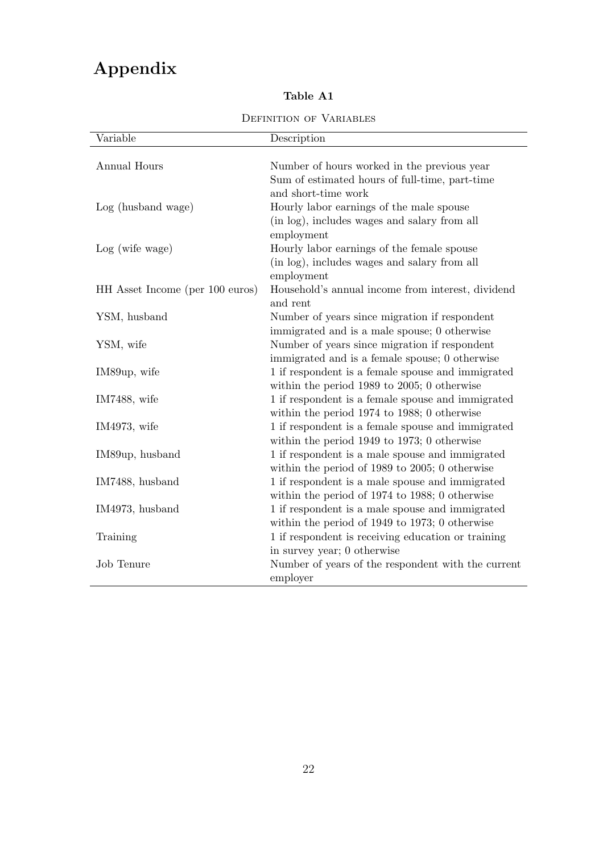# Appendix

| Variable                        | Description                                                                                                     |
|---------------------------------|-----------------------------------------------------------------------------------------------------------------|
| Annual Hours                    | Number of hours worked in the previous year<br>Sum of estimated hours of full-time, part-time                   |
| Log (husband wage)              | and short-time work<br>Hourly labor earnings of the male spouse<br>(in log), includes wages and salary from all |
| Log (wife wage)                 | employment<br>Hourly labor earnings of the female spouse<br>(in log), includes wages and salary from all        |
| HH Asset Income (per 100 euros) | employment<br>Household's annual income from interest, dividend<br>and rent                                     |
| YSM, husband                    | Number of years since migration if respondent<br>immigrated and is a male spouse; 0 otherwise                   |
| YSM, wife                       | Number of years since migration if respondent<br>immigrated and is a female spouse; 0 otherwise                 |
| IM89up, wife                    | 1 if respondent is a female spouse and immigrated<br>within the period $1989$ to $2005$ ; 0 otherwise           |
| IM7488, wife                    | 1 if respondent is a female spouse and immigrated<br>within the period $1974$ to $1988$ ; 0 otherwise           |
| $IM4973$ , wife                 | 1 if respondent is a female spouse and immigrated<br>within the period 1949 to 1973; 0 otherwise                |
| IM89up, husband                 | 1 if respondent is a male spouse and immigrated<br>within the period of 1989 to 2005; 0 otherwise               |
| IM7488, husband                 | 1 if respondent is a male spouse and immigrated<br>within the period of 1974 to 1988; 0 otherwise               |
| IM4973, husband                 | 1 if respondent is a male spouse and immigrated<br>within the period of $1949$ to $1973$ ; 0 otherwise          |
| Training                        | 1 if respondent is receiving education or training<br>in survey year; 0 otherwise                               |
| Job Tenure                      | Number of years of the respondent with the current<br>employer                                                  |

# Table A1 DEFINITION OF VARIABLES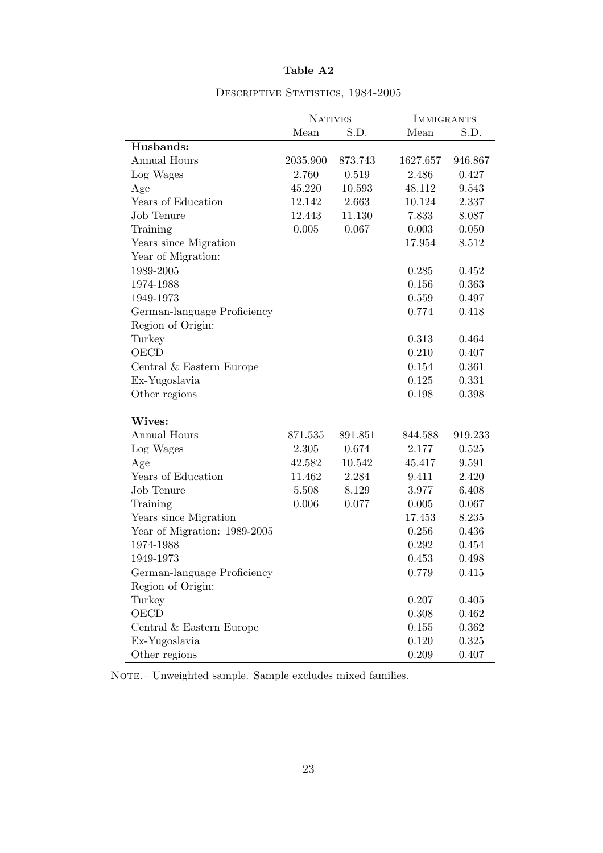| S.D.<br>Mean<br>S.D.<br>Mean<br>Husbands:<br><b>Annual Hours</b><br>946.867<br>2035.900<br>873.743<br>1627.657<br>2.760<br>0.519<br>2.486<br>0.427<br>Log Wages<br>45.220<br>10.593<br>48.112<br>9.543<br>Age<br>Years of Education<br>12.142<br>2.663<br>10.124<br>2.337<br>Job Tenure<br>7.833<br>12.443<br>11.130<br>8.087<br>0.005<br>0.067<br>0.003<br>Training<br>0.050<br>Years since Migration<br>17.954<br>8.512<br>Year of Migration:<br>1989-2005<br>0.285<br>0.452<br>1974-1988<br>0.156<br>0.363<br>1949-1973<br>0.559<br>0.497<br>0.774<br>German-language Proficiency<br>0.418<br>Region of Origin:<br>Turkey<br>0.313<br>0.464<br><b>OECD</b><br>0.210<br>0.407<br>0.154<br>0.361<br>Central & Eastern Europe |
|-------------------------------------------------------------------------------------------------------------------------------------------------------------------------------------------------------------------------------------------------------------------------------------------------------------------------------------------------------------------------------------------------------------------------------------------------------------------------------------------------------------------------------------------------------------------------------------------------------------------------------------------------------------------------------------------------------------------------------|
|                                                                                                                                                                                                                                                                                                                                                                                                                                                                                                                                                                                                                                                                                                                               |
|                                                                                                                                                                                                                                                                                                                                                                                                                                                                                                                                                                                                                                                                                                                               |
|                                                                                                                                                                                                                                                                                                                                                                                                                                                                                                                                                                                                                                                                                                                               |
|                                                                                                                                                                                                                                                                                                                                                                                                                                                                                                                                                                                                                                                                                                                               |
|                                                                                                                                                                                                                                                                                                                                                                                                                                                                                                                                                                                                                                                                                                                               |
|                                                                                                                                                                                                                                                                                                                                                                                                                                                                                                                                                                                                                                                                                                                               |
|                                                                                                                                                                                                                                                                                                                                                                                                                                                                                                                                                                                                                                                                                                                               |
|                                                                                                                                                                                                                                                                                                                                                                                                                                                                                                                                                                                                                                                                                                                               |
|                                                                                                                                                                                                                                                                                                                                                                                                                                                                                                                                                                                                                                                                                                                               |
|                                                                                                                                                                                                                                                                                                                                                                                                                                                                                                                                                                                                                                                                                                                               |
|                                                                                                                                                                                                                                                                                                                                                                                                                                                                                                                                                                                                                                                                                                                               |
|                                                                                                                                                                                                                                                                                                                                                                                                                                                                                                                                                                                                                                                                                                                               |
|                                                                                                                                                                                                                                                                                                                                                                                                                                                                                                                                                                                                                                                                                                                               |
|                                                                                                                                                                                                                                                                                                                                                                                                                                                                                                                                                                                                                                                                                                                               |
|                                                                                                                                                                                                                                                                                                                                                                                                                                                                                                                                                                                                                                                                                                                               |
|                                                                                                                                                                                                                                                                                                                                                                                                                                                                                                                                                                                                                                                                                                                               |
|                                                                                                                                                                                                                                                                                                                                                                                                                                                                                                                                                                                                                                                                                                                               |
|                                                                                                                                                                                                                                                                                                                                                                                                                                                                                                                                                                                                                                                                                                                               |
| Ex-Yugoslavia<br>0.125<br>0.331                                                                                                                                                                                                                                                                                                                                                                                                                                                                                                                                                                                                                                                                                               |
| Other regions<br>0.198<br>0.398                                                                                                                                                                                                                                                                                                                                                                                                                                                                                                                                                                                                                                                                                               |
| Wives:                                                                                                                                                                                                                                                                                                                                                                                                                                                                                                                                                                                                                                                                                                                        |
| <b>Annual Hours</b><br>871.535<br>891.851<br>844.588<br>919.233                                                                                                                                                                                                                                                                                                                                                                                                                                                                                                                                                                                                                                                               |
| 2.305<br>0.674<br>0.525<br>2.177                                                                                                                                                                                                                                                                                                                                                                                                                                                                                                                                                                                                                                                                                              |
| Log Wages<br>42.582<br>10.542<br>9.591<br>Age<br>45.417                                                                                                                                                                                                                                                                                                                                                                                                                                                                                                                                                                                                                                                                       |
| Years of Education<br>11.462<br>2.284<br>9.411<br>2.420                                                                                                                                                                                                                                                                                                                                                                                                                                                                                                                                                                                                                                                                       |
| Job Tenure<br>5.508<br>8.129<br>6.408<br>3.977                                                                                                                                                                                                                                                                                                                                                                                                                                                                                                                                                                                                                                                                                |
| 0.006<br>0.077<br>0.005<br>Training<br>0.067                                                                                                                                                                                                                                                                                                                                                                                                                                                                                                                                                                                                                                                                                  |
| Years since Migration<br>17.453<br>8.235                                                                                                                                                                                                                                                                                                                                                                                                                                                                                                                                                                                                                                                                                      |
| Year of Migration: 1989-2005<br>0.256<br>0.436                                                                                                                                                                                                                                                                                                                                                                                                                                                                                                                                                                                                                                                                                |
| 1974-1988<br>0.292<br>0.454                                                                                                                                                                                                                                                                                                                                                                                                                                                                                                                                                                                                                                                                                                   |
| 1949-1973<br>0.453<br>0.498                                                                                                                                                                                                                                                                                                                                                                                                                                                                                                                                                                                                                                                                                                   |
| German-language Proficiency<br>0.779<br>0.415                                                                                                                                                                                                                                                                                                                                                                                                                                                                                                                                                                                                                                                                                 |
|                                                                                                                                                                                                                                                                                                                                                                                                                                                                                                                                                                                                                                                                                                                               |
| Region of Origin:<br>Turkey<br>0.207<br>0.405                                                                                                                                                                                                                                                                                                                                                                                                                                                                                                                                                                                                                                                                                 |
| OECD<br>0.308<br>0.462                                                                                                                                                                                                                                                                                                                                                                                                                                                                                                                                                                                                                                                                                                        |
|                                                                                                                                                                                                                                                                                                                                                                                                                                                                                                                                                                                                                                                                                                                               |
| 0.155<br>0.362<br>Central & Eastern Europe<br>0.120                                                                                                                                                                                                                                                                                                                                                                                                                                                                                                                                                                                                                                                                           |
| Ex-Yugoslavia<br>0.325<br>Other regions<br>0.209<br>0.407                                                                                                                                                                                                                                                                                                                                                                                                                                                                                                                                                                                                                                                                     |

DESCRIPTIVE STATISTICS, 1984-2005

 $\textsc{NOTE} -$  Unweighted sample. Sample excludes mixed families.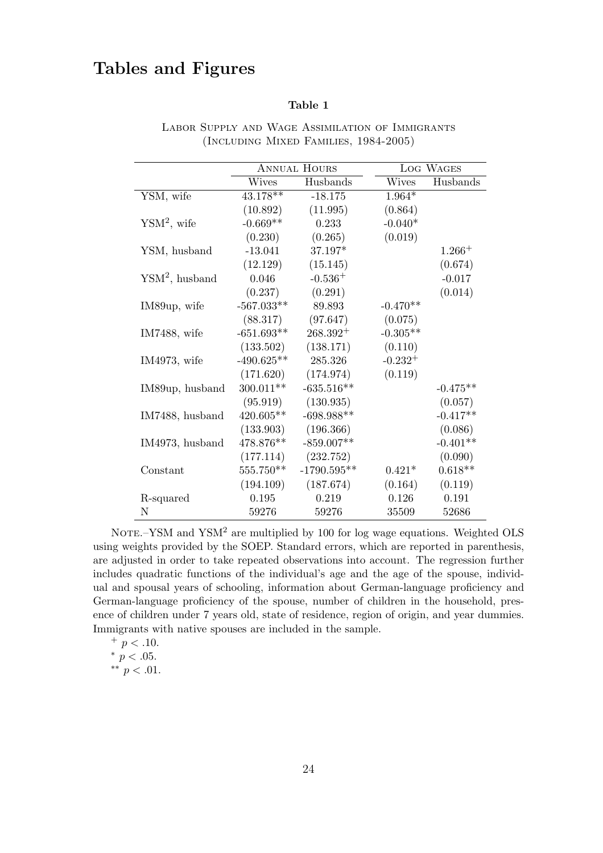# Tables and Figures

#### Table 1

|                  | <b>ANNUAL HOURS</b> |               |              | LOG WAGES  |
|------------------|---------------------|---------------|--------------|------------|
|                  | Wives               | Husbands      | <b>Wives</b> | Husbands   |
| YSM, wife        | 43.178**            | $-18.175$     | $1.964*$     |            |
|                  | (10.892)            | (11.995)      | (0.864)      |            |
| $YSM2$ , wife    | $-0.669**$          | 0.233         | $-0.040*$    |            |
|                  | (0.230)             | (0.265)       | (0.019)      |            |
| YSM, husband     | $-13.041$           | $37.197*$     |              | $1.266+$   |
|                  | (12.129)            | (15.145)      |              | (0.674)    |
| $YSM2$ , husband | 0.046               | $-0.536+$     |              | $-0.017$   |
|                  | (0.237)             | (0.291)       |              | (0.014)    |
| IM89up, wife     | $-567.033**$        | 89.893        | $-0.470**$   |            |
|                  | (88.317)            | (97.647)      | (0.075)      |            |
| IM7488, wife     | $-651.693**$        | $268.392^+$   | $-0.305**$   |            |
|                  | (133.502)           | (138.171)     | (0.110)      |            |
| IM4973, wife     | $-490.625**$        | 285.326       | $-0.232^{+}$ |            |
|                  | (171.620)           | (174.974)     | (0.119)      |            |
| IM89up, husband  | $300.011**$         | $-635.516**$  |              | $-0.475**$ |
|                  | (95.919)            | (130.935)     |              | (0.057)    |
| IM7488, husband  | $420.605**$         | $-698.988**$  |              | $-0.417**$ |
|                  | (133.903)           | (196.366)     |              | (0.086)    |
| IM4973, husband  | 478.876**           | $-859.007**$  |              | $-0.401**$ |
|                  | (177.114)           | (232.752)     |              | (0.090)    |
| Constant         | 555.750**           | $-1790.595**$ | $0.421*$     | $0.618**$  |
|                  | (194.109)           | (187.674)     | (0.164)      | (0.119)    |
| R-squared        | 0.195               | 0.219         | 0.126        | 0.191      |
| N                | 59276               | 59276         | 35509        | 52686      |

Labor Supply and Wage Assimilation of Immigrants (Including Mixed Families, 1984-2005)

NOTE.–YSM and YSM<sup>2</sup> are multiplied by 100 for log wage equations. Weighted OLS using weights provided by the SOEP. Standard errors, which are reported in parenthesis, are adjusted in order to take repeated observations into account. The regression further includes quadratic functions of the individual's age and the age of the spouse, individual and spousal years of schooling, information about German-language proficiency and German-language proficiency of the spouse, number of children in the household, presence of children under 7 years old, state of residence, region of origin, and year dummies. Immigrants with native spouses are included in the sample.

$$
+ p < .10.
$$
  
\n\* p < .05.  
\n\*\* p < .01.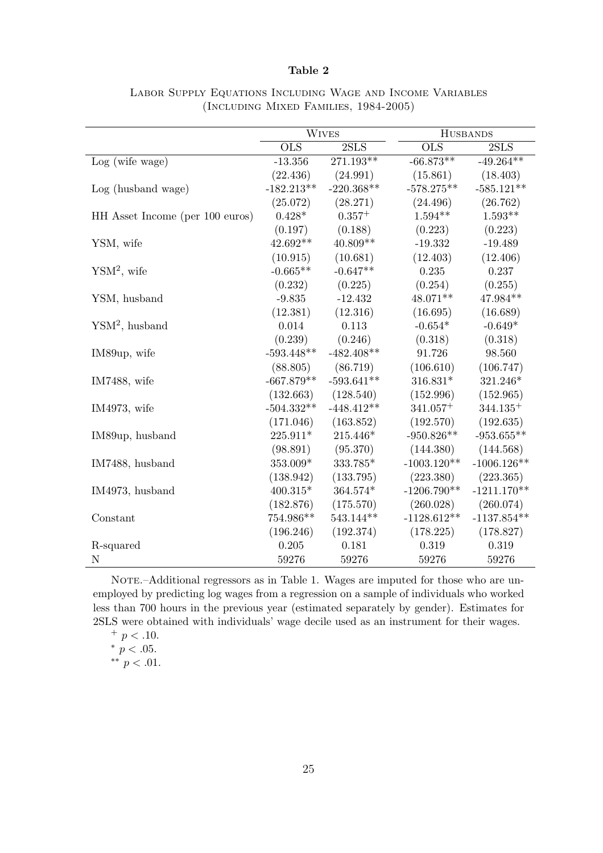|                                 | <b>WIVES</b>            |              |                           | <b>HUSBANDS</b> |
|---------------------------------|-------------------------|--------------|---------------------------|-----------------|
|                                 | $\overline{\text{OLS}}$ | 2SLS         | $\overline{\mathrm{OLS}}$ | 2SLS            |
| Log (wife wage)                 | $-13.356$               | 271.193**    | $-66.873**$               | $-49.264**$     |
|                                 | (22.436)                | (24.991)     | (15.861)                  | (18.403)        |
| Log (husband wage)              | $-182.213**$            | $-220.368**$ | $-578.275**$              | $-585.121**$    |
|                                 | (25.072)                | (28.271)     | (24.496)                  | (26.762)        |
| HH Asset Income (per 100 euros) | $0.428*$                | $0.357^{+}$  | $1.594**$                 | $1.593**$       |
|                                 | (0.197)                 | (0.188)      | (0.223)                   | (0.223)         |
| YSM, wife                       | $42.692**$              | 40.809**     | $-19.332$                 | $-19.489$       |
|                                 | (10.915)                | (10.681)     | (12.403)                  | (12.406)        |
| $YSM2$ , wife                   | $-0.665**$              | $-0.647**$   | 0.235                     | 0.237           |
|                                 | (0.232)                 | (0.225)      | (0.254)                   | (0.255)         |
| YSM, husband                    | $-9.835$                | $-12.432$    | 48.071**                  | 47.984**        |
|                                 | (12.381)                | (12.316)     | (16.695)                  | (16.689)        |
| $YSM2$ , husband                | 0.014                   | 0.113        | $-0.654*$                 | $-0.649*$       |
|                                 | (0.239)                 | (0.246)      | (0.318)                   | (0.318)         |
| IM89up, wife                    | $-593.448**$            | $-482.408**$ | 91.726                    | 98.560          |
|                                 | (88.805)                | (86.719)     | (106.610)                 | (106.747)       |
| IM7488, wife                    | $-667.879**$            | $-593.641**$ | $316.831*$                | 321.246*        |
|                                 | (132.663)               | (128.540)    | (152.996)                 | (152.965)       |
| IM4973, wife                    | $-504.332**$            | $-448.412**$ | $341.057+$                | $344.135+$      |
|                                 | (171.046)               | (163.852)    | (192.570)                 | (192.635)       |
| IM89up, husband                 | $225.911*$              | 215.446*     | $-950.826**$              | $-953.655**$    |
|                                 | (98.891)                | (95.370)     | (144.380)                 | (144.568)       |
| IM7488, husband                 | 353.009*                | 333.785*     | $-1003.120**$             | $-1006.126**$   |
|                                 | (138.942)               | (133.795)    | (223.380)                 | (223.365)       |
| IM4973, husband                 | $400.315*$              | 364.574*     | $-1206.790**$             | $-1211.170**$   |
|                                 | (182.876)               | (175.570)    | (260.028)                 | (260.074)       |
| Constant                        | 754.986**               | $543.144**$  | $-1128.612**$             | $-1137.854**$   |
|                                 | (196.246)               | (192.374)    | (178.225)                 | (178.827)       |
| R-squared                       | 0.205                   | 0.181        | 0.319                     | 0.319           |
| $\mathbf N$                     | 59276                   | 59276        | 59276                     | 59276           |

Labor Supply Equations Including Wage and Income Variables (Including Mixed Families, 1984-2005)

NOTE.–Additional regressors as in Table 1. Wages are imputed for those who are unemployed by predicting log wages from a regression on a sample of individuals who worked less than 700 hours in the previous year (estimated separately by gender). Estimates for 2SLS were obtained with individuals' wage decile used as an instrument for their wages.

 $+ p < .10.$ <sup>∗</sup> p < .05. ∗∗ p < .01.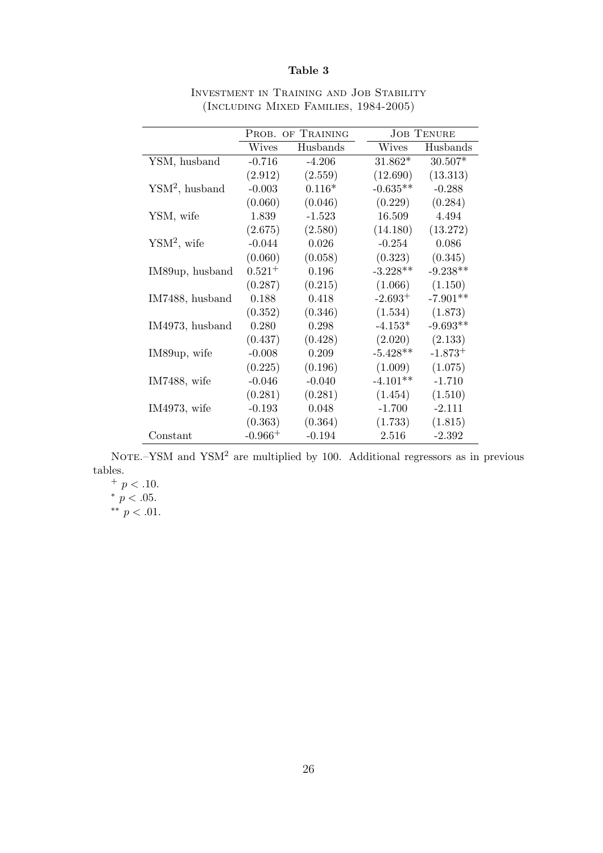|                  | PROB. OF TRAINING |          |              | <b>JOB TENURE</b> |
|------------------|-------------------|----------|--------------|-------------------|
|                  | Wives             | Husbands | Wives        | Husbands          |
| YSM, husband     | $-0.716$          | $-4.206$ | 31.862*      | $30.507*$         |
|                  | (2.912)           | (2.559)  | (12.690)     | (13.313)          |
| $YSM2$ , husband | $-0.003$          | $0.116*$ | $-0.635**$   | $-0.288$          |
|                  | (0.060)           | (0.046)  | (0.229)      | (0.284)           |
| YSM, wife        | 1.839             | $-1.523$ | 16.509       | 4.494             |
|                  | (2.675)           | (2.580)  | (14.180)     | (13.272)          |
| $YSM2$ , wife    | $-0.044$          | 0.026    | $-0.254$     | 0.086             |
|                  | (0.060)           | (0.058)  | (0.323)      | (0.345)           |
| IM89up, husband  | $0.521+$          | 0.196    | $-3.228**$   | $-9.238**$        |
|                  | (0.287)           | (0.215)  | (1.066)      | (1.150)           |
| IM7488, husband  | 0.188             | 0.418    | $-2.693^{+}$ | $-7.901**$        |
|                  | (0.352)           | (0.346)  | (1.534)      | (1.873)           |
| IM4973, husband  | 0.280             | 0.298    | $-4.153*$    | $-9.693**$        |
|                  | (0.437)           | (0.428)  | (2.020)      | (2.133)           |
| IM89up, wife     | $-0.008$          | 0.209    | $-5.428**$   | $-1.873+$         |
|                  | (0.225)           | (0.196)  | (1.009)      | (1.075)           |
| IM7488, wife     | $-0.046$          | $-0.040$ | $-4.101**$   | $-1.710$          |
|                  | (0.281)           | (0.281)  | (1.454)      | (1.510)           |
| IM4973, wife     | $-0.193$          | 0.048    | $-1.700$     | $-2.111$          |
|                  | (0.363)           | (0.364)  | (1.733)      | (1.815)           |
| Constant         | $-0.966+$         | $-0.194$ | 2.516        | $-2.392$          |

## Investment in Training and Job Stability (Including Mixed Families, 1984-2005)

NOTE.–YSM and YSM<sup>2</sup> are multiplied by 100. Additional regressors as in previous tables.

 $+ p < .10.$ <sup>∗</sup> p < .05. ∗∗ p < .01.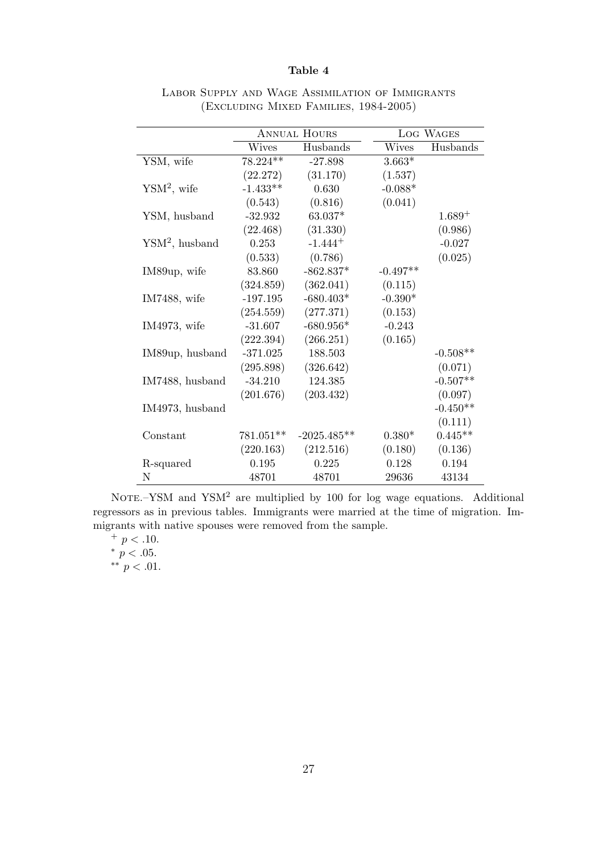|                  | <b>ANNUAL HOURS</b> |               |              | LOG WAGES   |
|------------------|---------------------|---------------|--------------|-------------|
|                  | <b>Wives</b>        | Husbands      | <b>Wives</b> | Husbands    |
| YSM, wife        | 78.224**            | $-27.898$     | $3.663*$     |             |
|                  | (22.272)            | (31.170)      | (1.537)      |             |
| $YSM2$ , wife    | $-1.433**$          | 0.630         | $-0.088*$    |             |
|                  | (0.543)             | (0.816)       | (0.041)      |             |
| YSM, husband     | $-32.932$           | $63.037*$     |              | $1.689^{+}$ |
|                  | (22.468)            | (31.330)      |              | (0.986)     |
| $YSM2$ , husband | 0.253               | $-1.444+$     |              | $-0.027$    |
|                  | (0.533)             | (0.786)       |              | (0.025)     |
| IM89up, wife     | 83.860              | $-862.837*$   | $-0.497**$   |             |
|                  | (324.859)           | (362.041)     | (0.115)      |             |
| IM7488, wife     | $-197.195$          | $-680.403*$   | $-0.390*$    |             |
|                  | (254.559)           | (277.371)     | (0.153)      |             |
| IM4973, wife     | $-31.607$           | $-680.956*$   | $-0.243$     |             |
|                  | (222.394)           | (266.251)     | (0.165)      |             |
| IM89up, husband  | $-371.025$          | 188.503       |              | $-0.508**$  |
|                  | (295.898)           | (326.642)     |              | (0.071)     |
| IM7488, husband  | $-34.210$           | 124.385       |              | $-0.507**$  |
|                  | (201.676)           | (203.432)     |              | (0.097)     |
| IM4973, husband  |                     |               |              | $-0.450**$  |
|                  |                     |               |              | (0.111)     |
| Constant         | $781.051**$         | $-2025.485**$ | $0.380*$     | $0.445**$   |
|                  | (220.163)           | (212.516)     | (0.180)      | (0.136)     |
| R-squared        | 0.195               | 0.225         | 0.128        | 0.194       |
| N                | 48701               | 48701         | 29636        | 43134       |

Labor Supply and Wage Assimilation of Immigrants (Excluding Mixed Families, 1984-2005)

NOTE.–YSM and YSM<sup>2</sup> are multiplied by 100 for log wage equations. Additional regressors as in previous tables. Immigrants were married at the time of migration. Immigrants with native spouses were removed from the sample.

 $+ p < .10.$ <sup>∗</sup> p < .05. ∗∗ p < .01.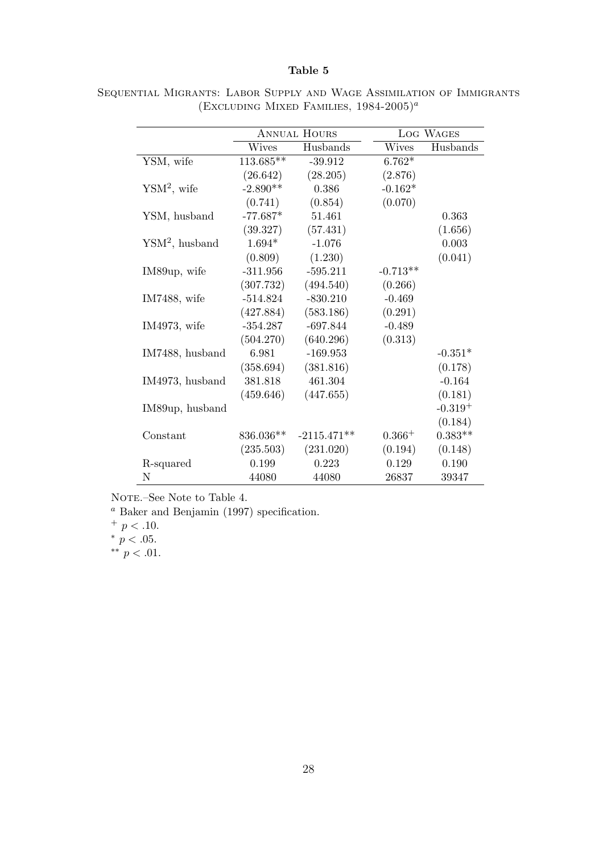|                  | <b>ANNUAL HOURS</b> |               |              | LOG WAGES |
|------------------|---------------------|---------------|--------------|-----------|
|                  | Wives               | Husbands      | <b>Wives</b> | Husbands  |
| YSM, wife        | $113.685**$         | $-39.912$     | $6.762*$     |           |
|                  | (26.642)            | (28.205)      | (2.876)      |           |
| $YSM2$ , wife    | $-2.890**$          | 0.386         | $-0.162*$    |           |
|                  | (0.741)             | (0.854)       | (0.070)      |           |
| YSM, husband     | $-77.687*$          | 51.461        |              | 0.363     |
|                  | (39.327)            | (57.431)      |              | (1.656)   |
| $YSM2$ , husband | $1.694*$            | $-1.076$      |              | 0.003     |
|                  | (0.809)             | (1.230)       |              | (0.041)   |
| IM89up, wife     | $-311.956$          | $-595.211$    | $-0.713**$   |           |
|                  | (307.732)           | (494.540)     | (0.266)      |           |
| IM7488, wife     | $-514.824$          | $-830.210$    | $-0.469$     |           |
|                  | (427.884)           | (583.186)     | (0.291)      |           |
| IM4973, wife     | $-354.287$          | $-697.844$    | $-0.489$     |           |
|                  | (504.270)           | (640.296)     | (0.313)      |           |
| IM7488, husband  | 6.981               | $-169.953$    |              | $-0.351*$ |
|                  | (358.694)           | (381.816)     |              | (0.178)   |
| IM4973, husband  | 381.818             | 461.304       |              | $-0.164$  |
|                  | (459.646)           | (447.655)     |              | (0.181)   |
| IM89up, husband  |                     |               |              | $-0.319+$ |
|                  |                     |               |              | (0.184)   |
| Constant         | $836.036**$         | $-2115.471**$ | $0.366^{+}$  | $0.383**$ |
|                  | (235.503)           | (231.020)     | (0.194)      | (0.148)   |
| R-squared        | 0.199               | 0.223         | 0.129        | 0.190     |
| N                | 44080               | 44080         | 26837        | 39347     |

Sequential Migrants: Labor Supply and Wage Assimilation of Immigrants (EXCLUDING MIXED FAMILIES,  $1984-2005)^a$ 

NOTE.–See Note to Table 4.

<sup>a</sup> Baker and Benjamin (1997) specification.

 $+ p < .10.$ <sup>∗</sup> p < .05.

∗∗ p < .01.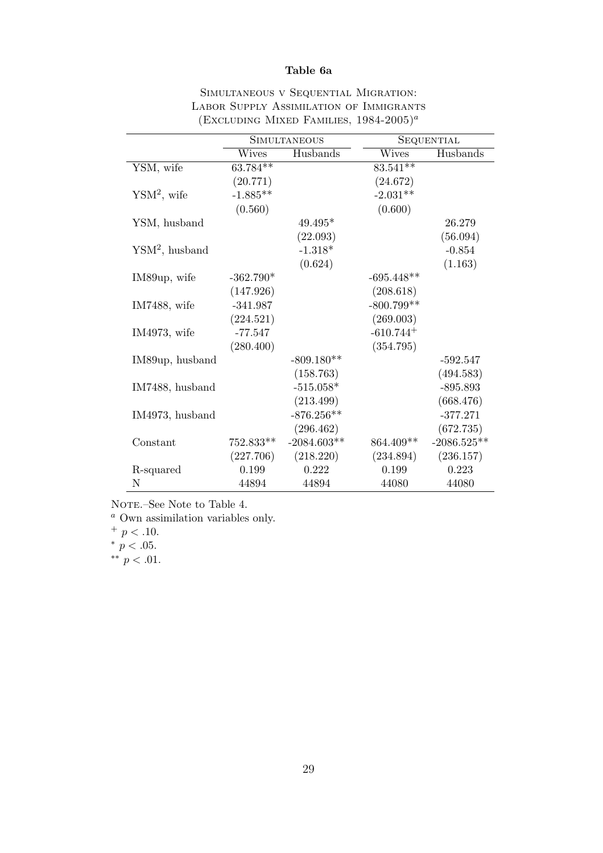#### Table 6a

|                  | <b>SIMULTANEOUS</b> |               |              | <b>SEQUENTIAL</b> |
|------------------|---------------------|---------------|--------------|-------------------|
|                  | Wives               | Husbands      | Wives        | Husbands          |
| YSM, wife        | $63.784**$          |               | $83.541**$   |                   |
|                  | (20.771)            |               | (24.672)     |                   |
| $YSM2$ , wife    | $-1.885**$          |               | $-2.031**$   |                   |
|                  | (0.560)             |               | (0.600)      |                   |
| YSM, husband     |                     | $49.495*$     |              | 26.279            |
|                  |                     | (22.093)      |              | (56.094)          |
| $YSM2$ , husband |                     | $-1.318*$     |              | $-0.854$          |
|                  |                     | (0.624)       |              | (1.163)           |
| IM89up, wife     | $-362.790*$         |               | $-695.448**$ |                   |
|                  | (147.926)           |               | (208.618)    |                   |
| IM7488, wife     | $-341.987$          |               | $-800.799**$ |                   |
|                  | (224.521)           |               | (269.003)    |                   |
| $IM4973$ , wife  | $-77.547$           |               | $-610.744+$  |                   |
|                  | (280.400)           |               | (354.795)    |                   |
| IM89up, husband  |                     | $-809.180**$  |              | $-592.547$        |
|                  |                     | (158.763)     |              | (494.583)         |
| IM7488, husband  |                     | $-515.058*$   |              | $-895.893$        |
|                  |                     | (213.499)     |              | (668.476)         |
| IM4973, husband  |                     | $-876.256**$  |              | $-377.271$        |
|                  |                     | (296.462)     |              | (672.735)         |
| Constant         | $752.833**$         | $-2084.603**$ | $864.409**$  | $-2086.525**$     |
|                  | (227.706)           | (218.220)     | (234.894)    | (236.157)         |
| R-squared        | 0.199               | 0.222         | 0.199        | 0.223             |
| $\mathbf N$      | 44894               | 44894         | 44080        | 44080             |

## SIMULTANEOUS V SEQUENTIAL MIGRATION: Labor Supply Assimilation of Immigrants (EXCLUDING MIXED FAMILIES,  $1984-2005$ )<sup>a</sup>

NOTE.–See Note to Table 4.

 $\!a}$  Own assimilation variables only.

 $+$  p  $< .10$ .  $∗ p < .05.$  $*$  ≠  $p$  < .01.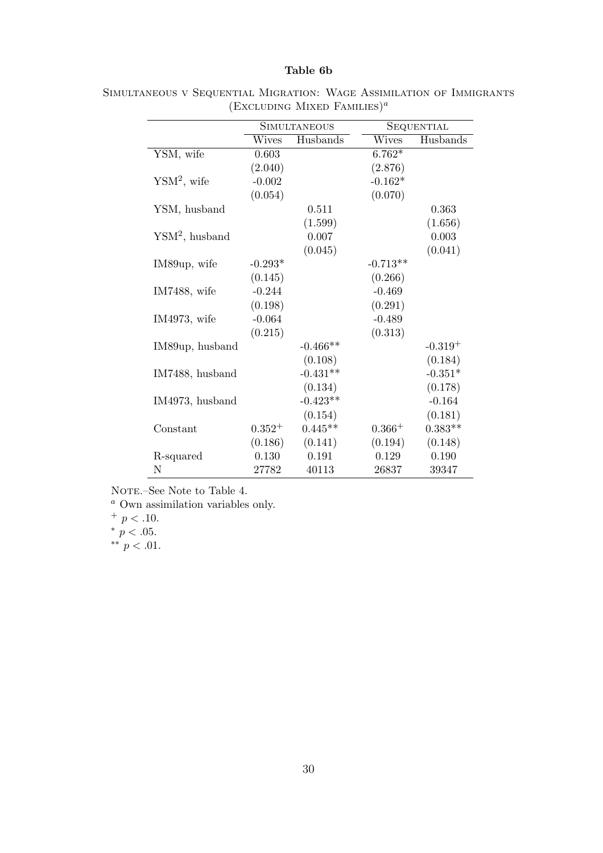#### Table 6b

|                  | <b>SIMULTANEOUS</b> |            |            | SEQUENTIAL |  |
|------------------|---------------------|------------|------------|------------|--|
|                  | <b>Wives</b>        | Husbands   | Wives      | Husbands   |  |
| YSM, wife        | 0.603               |            | $6.762*$   |            |  |
|                  | (2.040)             |            | (2.876)    |            |  |
| $YSM2$ , wife    | $-0.002$            |            | $-0.162*$  |            |  |
|                  | (0.054)             |            | (0.070)    |            |  |
| YSM, husband     |                     | 0.511      |            | 0.363      |  |
|                  |                     | (1.599)    |            | (1.656)    |  |
| $YSM2$ , husband |                     | 0.007      |            | 0.003      |  |
|                  |                     | (0.045)    |            | (0.041)    |  |
| IM89up, wife     | $-0.293*$           |            | $-0.713**$ |            |  |
|                  | (0.145)             |            | (0.266)    |            |  |
| IM7488, wife     | $-0.244$            |            | $-0.469$   |            |  |
|                  | (0.198)             |            | (0.291)    |            |  |
| $IM4973$ , wife  | $-0.064$            |            | $-0.489$   |            |  |
|                  | (0.215)             |            | (0.313)    |            |  |
| IM89up, husband  |                     | $-0.466**$ |            | $-0.319+$  |  |
|                  |                     | (0.108)    |            | (0.184)    |  |
| IM7488, husband  |                     | $-0.431**$ |            | $-0.351*$  |  |
|                  |                     | (0.134)    |            | (0.178)    |  |
| IM4973, husband  |                     | $-0.423**$ |            | $-0.164$   |  |
|                  |                     | (0.154)    |            | (0.181)    |  |
| Constant         | $0.352^{+}$         | $0.445**$  | $0.366 +$  | $0.383**$  |  |
|                  | (0.186)             | (0.141)    | (0.194)    | (0.148)    |  |
| R-squared        | 0.130               | 0.191      | 0.129      | 0.190      |  |
| N                | 27782               | 40113      | 26837      | 39347      |  |

Simultaneous v Sequential Migration: Wage Assimilation of Immigrants  $(EXCLUDING$  MIXED FAMILIES)<sup>*a*</sup>

NOTE.–See Note to Table 4.

 $\,^a$  Own assimilation variables only.

 $+ p < .10.$  $∗ p$  < .05.

 $*$  ∗∗  $p$  < .01.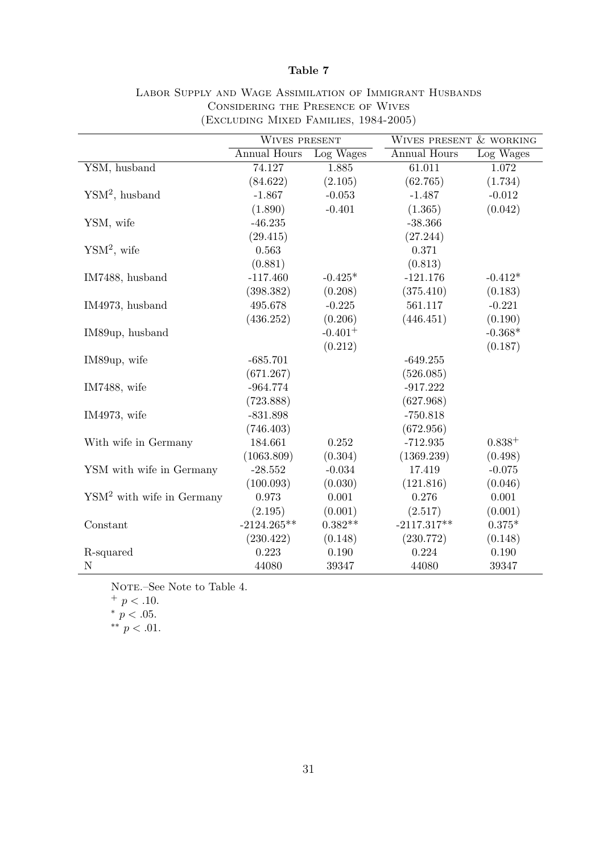|                             | <b>WIVES PRESENT</b> |           | WIVES PRESENT & WORKING |           |
|-----------------------------|----------------------|-----------|-------------------------|-----------|
|                             | <b>Annual Hours</b>  | Log Wages | <b>Annual Hours</b>     | Log Wages |
| YSM, husband                | 74.127               | 1.885     | 61.011                  | 1.072     |
|                             | (84.622)             | (2.105)   | (62.765)                | (1.734)   |
| $YSM2$ , husband            | $-1.867$             | $-0.053$  | $-1.487$                | $-0.012$  |
|                             | (1.890)              | $-0.401$  | (1.365)                 | (0.042)   |
| YSM, wife                   | $-46.235$            |           | $-38.366$               |           |
|                             | (29.415)             |           | (27.244)                |           |
| $YSM2$ , wife               | 0.563                |           | 0.371                   |           |
|                             | (0.881)              |           | (0.813)                 |           |
| IM7488, husband             | $-117.460$           | $-0.425*$ | $-121.176$              | $-0.412*$ |
|                             | (398.382)            | (0.208)   | (375.410)               | (0.183)   |
| IM4973, husband             | 495.678              | $-0.225$  | 561.117                 | $-0.221$  |
|                             | (436.252)            | (0.206)   | (446.451)               | (0.190)   |
| IM89up, husband             |                      | $-0.401+$ |                         | $-0.368*$ |
|                             |                      | (0.212)   |                         | (0.187)   |
| IM89up, wife                | $-685.701$           |           | $-649.255$              |           |
|                             | (671.267)            |           | (526.085)               |           |
| IM7488, wife                | $-964.774$           |           | $-917.222$              |           |
|                             | (723.888)            |           | (627.968)               |           |
| IM4973, wife                | $-831.898$           |           | $-750.818$              |           |
|                             | (746.403)            |           | (672.956)               |           |
| With wife in Germany        | 184.661              | 0.252     | $-712.935$              | $0.838 +$ |
|                             | (1063.809)           | (0.304)   | (1369.239)              | (0.498)   |
| YSM with wife in Germany    | $-28.552$            | $-0.034$  | 17.419                  | $-0.075$  |
|                             | (100.093)            | (0.030)   | (121.816)               | (0.046)   |
| $YSM2$ with wife in Germany | 0.973                | 0.001     | 0.276                   | 0.001     |
|                             | (2.195)              | (0.001)   | (2.517)                 | (0.001)   |
| Constant                    | $-2124.265**$        | $0.382**$ | $-2117.317**$           | $0.375*$  |
|                             | (230.422)            | (0.148)   | (230.772)               | (0.148)   |
| R-squared                   | 0.223                | 0.190     | 0.224                   | 0.190     |
| $\mathbf N$                 | 44080                | 39347     | 44080                   | 39347     |

## Labor Supply and Wage Assimilation of Immigrant Husbands Considering the Presence of Wives (Excluding Mixed Families, 1984-2005)

NOTE.–See Note to Table 4.

$$
x^* \neq p < .00.
$$

 $+ p < .10.$  $∗ p < .05.$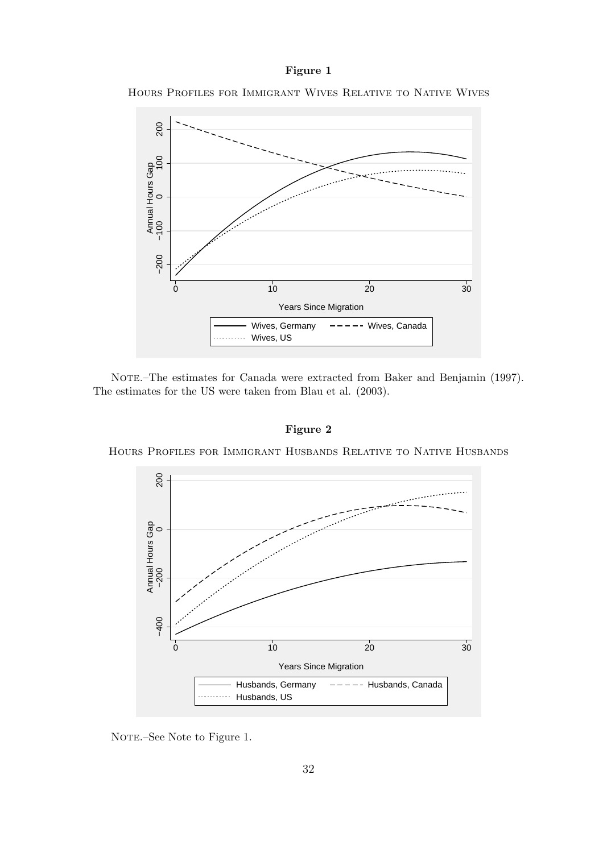#### Figure 1

Hours Profiles for Immigrant Wives Relative to Native Wives



NOTE.–The estimates for Canada were extracted from Baker and Benjamin (1997). The estimates for the US were taken from Blau et al. (2003).

#### Figure 2

Hours Profiles for Immigrant Husbands Relative to Native Husbands



NOTE.–See Note to Figure 1.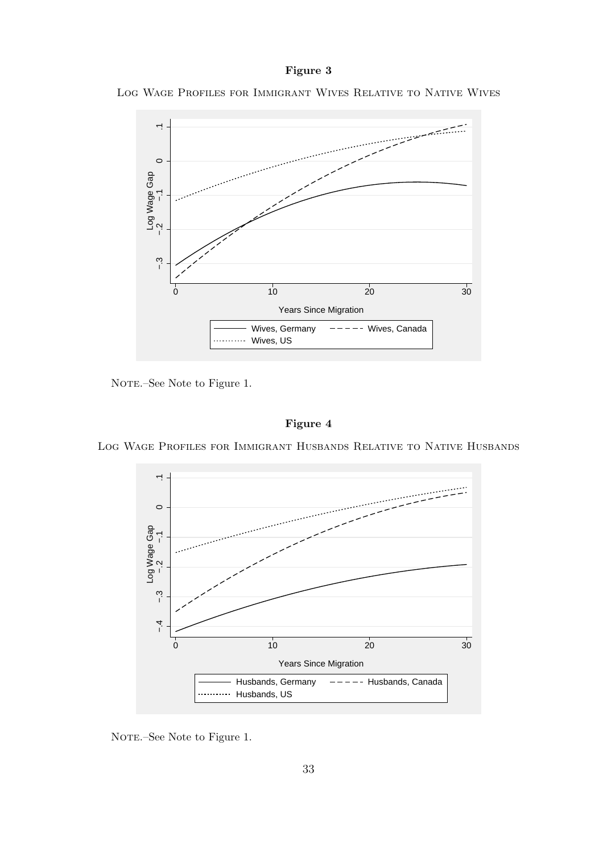## Figure 3

Log Wage Profiles for Immigrant Wives Relative to Native Wives



NOTE.–See Note to Figure 1.



Log Wage Profiles for Immigrant Husbands Relative to Native Husbands



NOTE.–See Note to Figure 1.